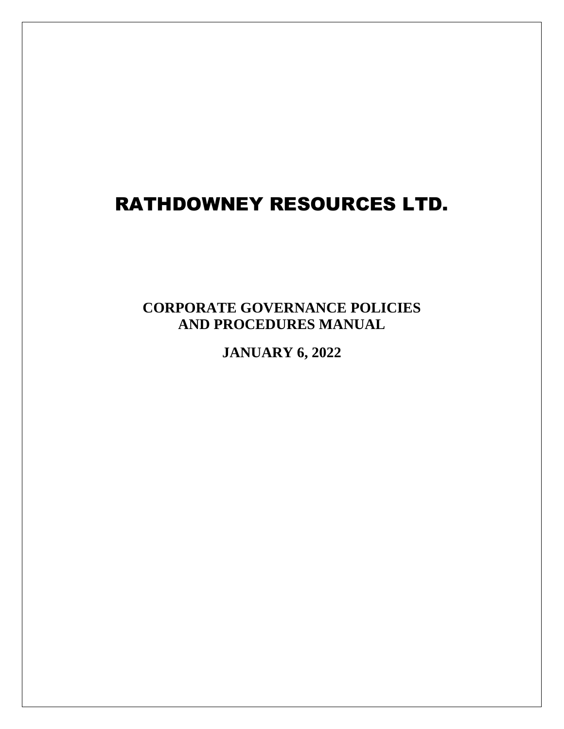# RATHDOWNEY RESOURCES LTD.

**CORPORATE GOVERNANCE POLICIES AND PROCEDURES MANUAL**

**JANUARY 6, 2022**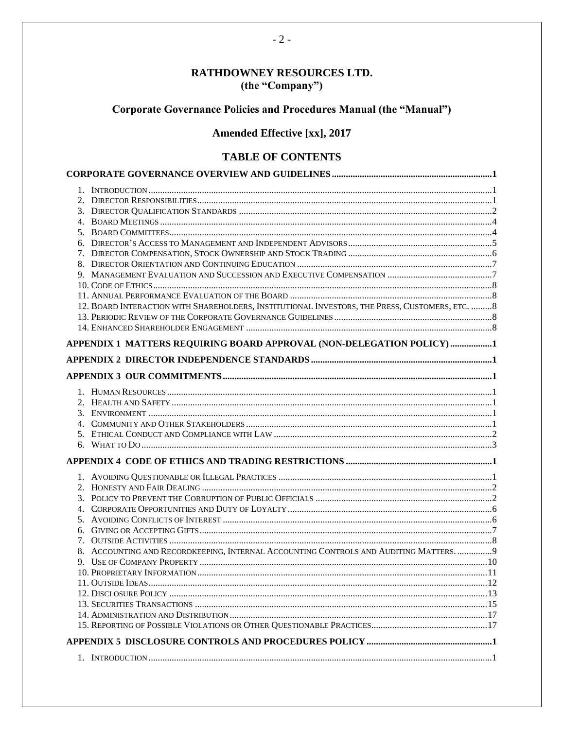# RATHDOWNEY RESOURCES LTD. (the "Company")

# Corporate Governance Policies and Procedures Manual (the "Manual")

# **Amended Effective [xx], 2017**

# **TABLE OF CONTENTS**

| 12. BOARD INTERACTION WITH SHAREHOLDERS, INSTITUTIONAL INVESTORS, THE PRESS, CUSTOMERS, ETC.  8 |  |
|-------------------------------------------------------------------------------------------------|--|
|                                                                                                 |  |
|                                                                                                 |  |
|                                                                                                 |  |
| APPENDIX 1 MATTERS REQUIRING BOARD APPROVAL (NON-DELEGATION POLICY)1                            |  |
|                                                                                                 |  |
|                                                                                                 |  |
|                                                                                                 |  |
|                                                                                                 |  |
|                                                                                                 |  |
|                                                                                                 |  |
|                                                                                                 |  |
|                                                                                                 |  |
|                                                                                                 |  |
|                                                                                                 |  |
|                                                                                                 |  |
|                                                                                                 |  |
|                                                                                                 |  |
|                                                                                                 |  |
|                                                                                                 |  |
|                                                                                                 |  |
|                                                                                                 |  |
| 8. ACCOUNTING AND RECORDKEEPING, INTERNAL ACCOUNTING CONTROLS AND AUDITING MATTERS 9            |  |
|                                                                                                 |  |
|                                                                                                 |  |
|                                                                                                 |  |
|                                                                                                 |  |
|                                                                                                 |  |
|                                                                                                 |  |
|                                                                                                 |  |
|                                                                                                 |  |
|                                                                                                 |  |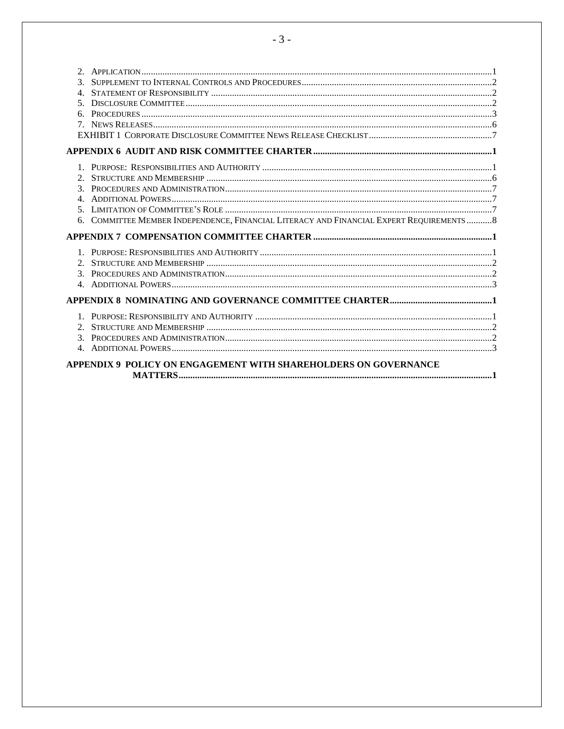| $3_{-}$<br>4 <sub>1</sub><br>$\sim$<br>б. |                                                                                           |  |
|-------------------------------------------|-------------------------------------------------------------------------------------------|--|
|                                           |                                                                                           |  |
|                                           |                                                                                           |  |
| 4                                         | 6. COMMITTEE MEMBER INDEPENDENCE, FINANCIAL LITERACY AND FINANCIAL EXPERT REQUIREMENTS  8 |  |
|                                           |                                                                                           |  |
|                                           |                                                                                           |  |
|                                           |                                                                                           |  |
| $2_{1}$<br>3 <sub>1</sub><br>$4_{\cdot}$  |                                                                                           |  |
|                                           | APPENDIX 9 POLICY ON ENGAGEMENT WITH SHAREHOLDERS ON GOVERNANCE                           |  |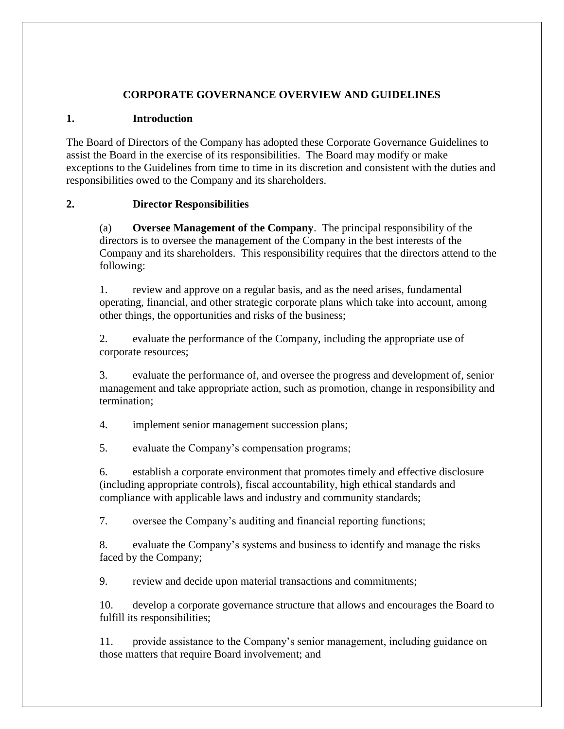#### **CORPORATE GOVERNANCE OVERVIEW AND GUIDELINES**

#### <span id="page-3-1"></span><span id="page-3-0"></span>**1. Introduction**

The Board of Directors of the Company has adopted these Corporate Governance Guidelines to assist the Board in the exercise of its responsibilities. The Board may modify or make exceptions to the Guidelines from time to time in its discretion and consistent with the duties and responsibilities owed to the Company and its shareholders.

#### <span id="page-3-2"></span>**2. Director Responsibilities**

(a) **Oversee Management of the Company**. The principal responsibility of the directors is to oversee the management of the Company in the best interests of the Company and its shareholders. This responsibility requires that the directors attend to the following:

1. review and approve on a regular basis, and as the need arises, fundamental operating, financial, and other strategic corporate plans which take into account, among other things, the opportunities and risks of the business;

2. evaluate the performance of the Company, including the appropriate use of corporate resources;

3. evaluate the performance of, and oversee the progress and development of, senior management and take appropriate action, such as promotion, change in responsibility and termination;

4. implement senior management succession plans;

5. evaluate the Company's compensation programs;

6. establish a corporate environment that promotes timely and effective disclosure (including appropriate controls), fiscal accountability, high ethical standards and compliance with applicable laws and industry and community standards;

7. oversee the Company's auditing and financial reporting functions;

8. evaluate the Company's systems and business to identify and manage the risks faced by the Company;

9. review and decide upon material transactions and commitments;

10. develop a corporate governance structure that allows and encourages the Board to fulfill its responsibilities;

11. provide assistance to the Company's senior management, including guidance on those matters that require Board involvement; and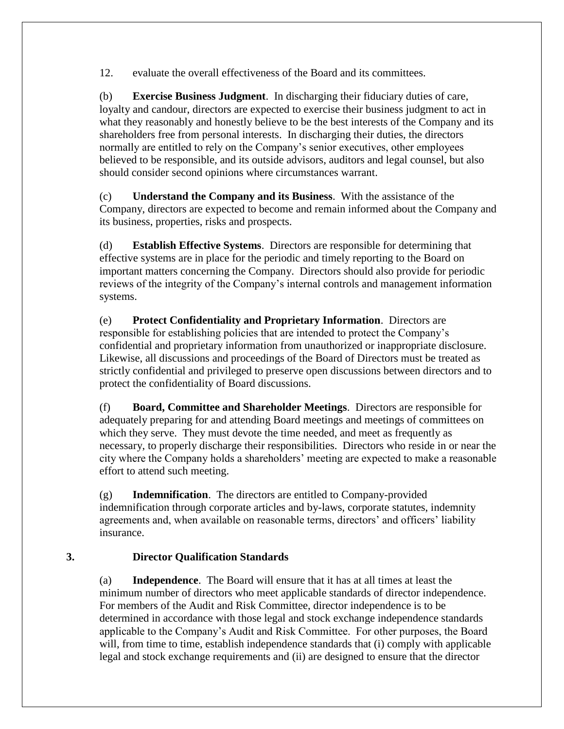12. evaluate the overall effectiveness of the Board and its committees.

(b) **Exercise Business Judgment**. In discharging their fiduciary duties of care, loyalty and candour, directors are expected to exercise their business judgment to act in what they reasonably and honestly believe to be the best interests of the Company and its shareholders free from personal interests. In discharging their duties, the directors normally are entitled to rely on the Company's senior executives, other employees believed to be responsible, and its outside advisors, auditors and legal counsel, but also should consider second opinions where circumstances warrant.

(c) **Understand the Company and its Business**. With the assistance of the Company, directors are expected to become and remain informed about the Company and its business, properties, risks and prospects.

(d) **Establish Effective Systems**. Directors are responsible for determining that effective systems are in place for the periodic and timely reporting to the Board on important matters concerning the Company. Directors should also provide for periodic reviews of the integrity of the Company's internal controls and management information systems.

(e) **Protect Confidentiality and Proprietary Information**. Directors are responsible for establishing policies that are intended to protect the Company's confidential and proprietary information from unauthorized or inappropriate disclosure. Likewise, all discussions and proceedings of the Board of Directors must be treated as strictly confidential and privileged to preserve open discussions between directors and to protect the confidentiality of Board discussions.

(f) **Board, Committee and Shareholder Meetings**. Directors are responsible for adequately preparing for and attending Board meetings and meetings of committees on which they serve. They must devote the time needed, and meet as frequently as necessary, to properly discharge their responsibilities. Directors who reside in or near the city where the Company holds a shareholders' meeting are expected to make a reasonable effort to attend such meeting.

(g) **Indemnification**. The directors are entitled to Company-provided indemnification through corporate articles and by-laws, corporate statutes, indemnity agreements and, when available on reasonable terms, directors' and officers' liability insurance.

#### <span id="page-4-0"></span>**3. Director Qualification Standards**

(a) **Independence**. The Board will ensure that it has at all times at least the minimum number of directors who meet applicable standards of director independence. For members of the Audit and Risk Committee, director independence is to be determined in accordance with those legal and stock exchange independence standards applicable to the Company's Audit and Risk Committee. For other purposes, the Board will, from time to time, establish independence standards that (i) comply with applicable legal and stock exchange requirements and (ii) are designed to ensure that the director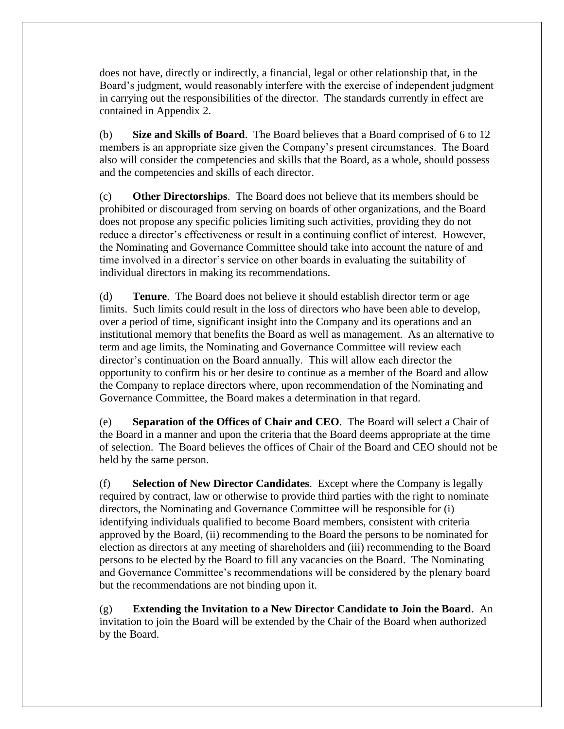does not have, directly or indirectly, a financial, legal or other relationship that, in the Board's judgment, would reasonably interfere with the exercise of independent judgment in carrying out the responsibilities of the director. The standards currently in effect are contained in Appendix 2.

(b) **Size and Skills of Board**. The Board believes that a Board comprised of 6 to 12 members is an appropriate size given the Company's present circumstances. The Board also will consider the competencies and skills that the Board, as a whole, should possess and the competencies and skills of each director.

(c) **Other Directorships**. The Board does not believe that its members should be prohibited or discouraged from serving on boards of other organizations, and the Board does not propose any specific policies limiting such activities, providing they do not reduce a director's effectiveness or result in a continuing conflict of interest. However, the Nominating and Governance Committee should take into account the nature of and time involved in a director's service on other boards in evaluating the suitability of individual directors in making its recommendations.

(d) **Tenure**. The Board does not believe it should establish director term or age limits. Such limits could result in the loss of directors who have been able to develop, over a period of time, significant insight into the Company and its operations and an institutional memory that benefits the Board as well as management. As an alternative to term and age limits, the Nominating and Governance Committee will review each director's continuation on the Board annually. This will allow each director the opportunity to confirm his or her desire to continue as a member of the Board and allow the Company to replace directors where, upon recommendation of the Nominating and Governance Committee, the Board makes a determination in that regard.

(e) **Separation of the Offices of Chair and CEO**. The Board will select a Chair of the Board in a manner and upon the criteria that the Board deems appropriate at the time of selection. The Board believes the offices of Chair of the Board and CEO should not be held by the same person.

(f) **Selection of New Director Candidates**. Except where the Company is legally required by contract, law or otherwise to provide third parties with the right to nominate directors, the Nominating and Governance Committee will be responsible for (i) identifying individuals qualified to become Board members, consistent with criteria approved by the Board, (ii) recommending to the Board the persons to be nominated for election as directors at any meeting of shareholders and (iii) recommending to the Board persons to be elected by the Board to fill any vacancies on the Board. The Nominating and Governance Committee's recommendations will be considered by the plenary board but the recommendations are not binding upon it.

(g) **Extending the Invitation to a New Director Candidate to Join the Board**. An invitation to join the Board will be extended by the Chair of the Board when authorized by the Board.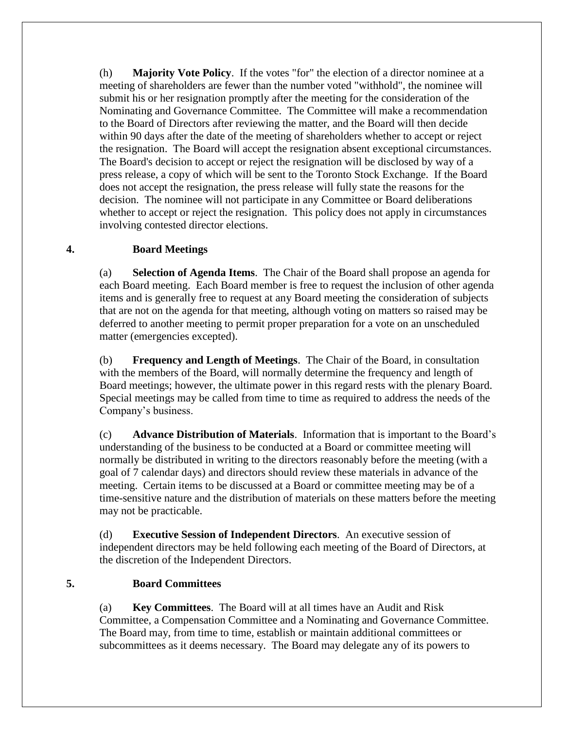(h) **Majority Vote Policy**. If the votes "for" the election of a director nominee at a meeting of shareholders are fewer than the number voted "withhold", the nominee will submit his or her resignation promptly after the meeting for the consideration of the Nominating and Governance Committee. The Committee will make a recommendation to the Board of Directors after reviewing the matter, and the Board will then decide within 90 days after the date of the meeting of shareholders whether to accept or reject the resignation. The Board will accept the resignation absent exceptional circumstances. The Board's decision to accept or reject the resignation will be disclosed by way of a press release, a copy of which will be sent to the Toronto Stock Exchange. If the Board does not accept the resignation, the press release will fully state the reasons for the decision. The nominee will not participate in any Committee or Board deliberations whether to accept or reject the resignation. This policy does not apply in circumstances involving contested director elections.

#### <span id="page-6-0"></span>**4. Board Meetings**

(a) **Selection of Agenda Items**. The Chair of the Board shall propose an agenda for each Board meeting. Each Board member is free to request the inclusion of other agenda items and is generally free to request at any Board meeting the consideration of subjects that are not on the agenda for that meeting, although voting on matters so raised may be deferred to another meeting to permit proper preparation for a vote on an unscheduled matter (emergencies excepted).

(b) **Frequency and Length of Meetings**. The Chair of the Board, in consultation with the members of the Board, will normally determine the frequency and length of Board meetings; however, the ultimate power in this regard rests with the plenary Board. Special meetings may be called from time to time as required to address the needs of the Company's business.

(c) **Advance Distribution of Materials**. Information that is important to the Board's understanding of the business to be conducted at a Board or committee meeting will normally be distributed in writing to the directors reasonably before the meeting (with a goal of 7 calendar days) and directors should review these materials in advance of the meeting. Certain items to be discussed at a Board or committee meeting may be of a time-sensitive nature and the distribution of materials on these matters before the meeting may not be practicable.

<span id="page-6-1"></span>(d) **Executive Session of Independent Directors**. An executive session of independent directors may be held following each meeting of the Board of Directors, at the discretion of the Independent Directors.

#### **5. Board Committees**

(a) **Key Committees**. The Board will at all times have an Audit and Risk Committee, a Compensation Committee and a Nominating and Governance Committee. The Board may, from time to time, establish or maintain additional committees or subcommittees as it deems necessary. The Board may delegate any of its powers to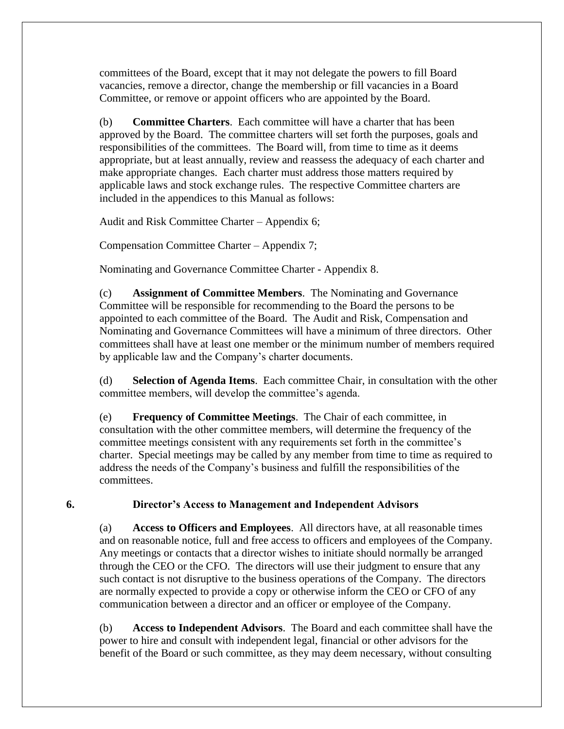committees of the Board, except that it may not delegate the powers to fill Board vacancies, remove a director, change the membership or fill vacancies in a Board Committee, or remove or appoint officers who are appointed by the Board.

(b) **Committee Charters**. Each committee will have a charter that has been approved by the Board. The committee charters will set forth the purposes, goals and responsibilities of the committees. The Board will, from time to time as it deems appropriate, but at least annually, review and reassess the adequacy of each charter and make appropriate changes. Each charter must address those matters required by applicable laws and stock exchange rules. The respective Committee charters are included in the appendices to this Manual as follows:

Audit and Risk Committee Charter – Appendix 6;

Compensation Committee Charter – Appendix 7;

Nominating and Governance Committee Charter - Appendix 8.

(c) **Assignment of Committee Members**. The Nominating and Governance Committee will be responsible for recommending to the Board the persons to be appointed to each committee of the Board. The Audit and Risk, Compensation and Nominating and Governance Committees will have a minimum of three directors. Other committees shall have at least one member or the minimum number of members required by applicable law and the Company's charter documents.

(d) **Selection of Agenda Items**. Each committee Chair, in consultation with the other committee members, will develop the committee's agenda.

(e) **Frequency of Committee Meetings**. The Chair of each committee, in consultation with the other committee members, will determine the frequency of the committee meetings consistent with any requirements set forth in the committee's charter. Special meetings may be called by any member from time to time as required to address the needs of the Company's business and fulfill the responsibilities of the committees.

#### <span id="page-7-0"></span>**6. Director's Access to Management and Independent Advisors**

(a) **Access to Officers and Employees**. All directors have, at all reasonable times and on reasonable notice, full and free access to officers and employees of the Company. Any meetings or contacts that a director wishes to initiate should normally be arranged through the CEO or the CFO. The directors will use their judgment to ensure that any such contact is not disruptive to the business operations of the Company. The directors are normally expected to provide a copy or otherwise inform the CEO or CFO of any communication between a director and an officer or employee of the Company.

(b) **Access to Independent Advisors**. The Board and each committee shall have the power to hire and consult with independent legal, financial or other advisors for the benefit of the Board or such committee, as they may deem necessary, without consulting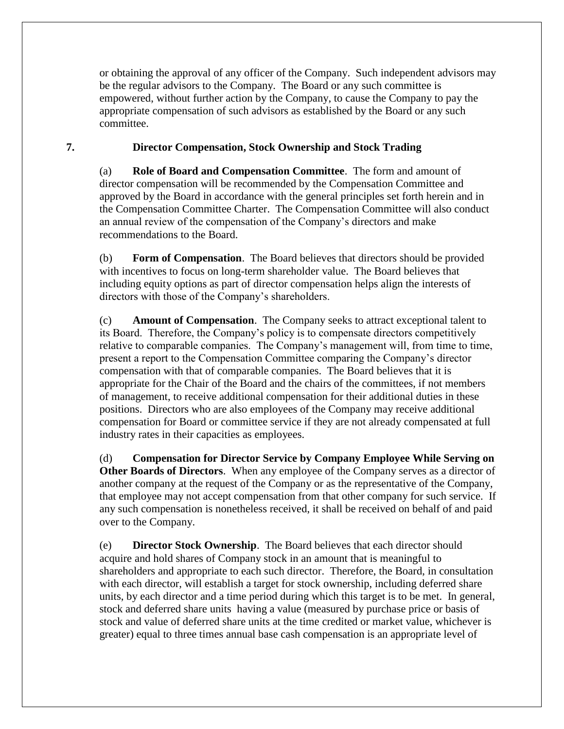or obtaining the approval of any officer of the Company. Such independent advisors may be the regular advisors to the Company. The Board or any such committee is empowered, without further action by the Company, to cause the Company to pay the appropriate compensation of such advisors as established by the Board or any such committee.

#### <span id="page-8-0"></span>**7. Director Compensation, Stock Ownership and Stock Trading**

(a) **Role of Board and Compensation Committee**. The form and amount of director compensation will be recommended by the Compensation Committee and approved by the Board in accordance with the general principles set forth herein and in the Compensation Committee Charter. The Compensation Committee will also conduct an annual review of the compensation of the Company's directors and make recommendations to the Board.

(b) **Form of Compensation**. The Board believes that directors should be provided with incentives to focus on long-term shareholder value. The Board believes that including equity options as part of director compensation helps align the interests of directors with those of the Company's shareholders.

(c) **Amount of Compensation**. The Company seeks to attract exceptional talent to its Board. Therefore, the Company's policy is to compensate directors competitively relative to comparable companies. The Company's management will, from time to time, present a report to the Compensation Committee comparing the Company's director compensation with that of comparable companies. The Board believes that it is appropriate for the Chair of the Board and the chairs of the committees, if not members of management, to receive additional compensation for their additional duties in these positions. Directors who are also employees of the Company may receive additional compensation for Board or committee service if they are not already compensated at full industry rates in their capacities as employees.

(d) **Compensation for Director Service by Company Employee While Serving on Other Boards of Directors**. When any employee of the Company serves as a director of another company at the request of the Company or as the representative of the Company, that employee may not accept compensation from that other company for such service. If any such compensation is nonetheless received, it shall be received on behalf of and paid over to the Company.

(e) **Director Stock Ownership**. The Board believes that each director should acquire and hold shares of Company stock in an amount that is meaningful to shareholders and appropriate to each such director. Therefore, the Board, in consultation with each director, will establish a target for stock ownership, including deferred share units, by each director and a time period during which this target is to be met. In general, stock and deferred share units having a value (measured by purchase price or basis of stock and value of deferred share units at the time credited or market value, whichever is greater) equal to three times annual base cash compensation is an appropriate level of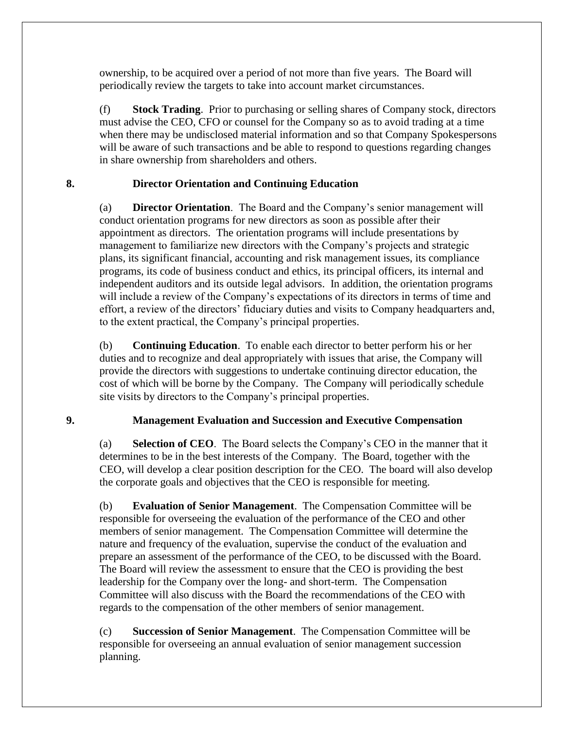ownership, to be acquired over a period of not more than five years. The Board will periodically review the targets to take into account market circumstances.

(f) **Stock Trading**. Prior to purchasing or selling shares of Company stock, directors must advise the CEO, CFO or counsel for the Company so as to avoid trading at a time when there may be undisclosed material information and so that Company Spokespersons will be aware of such transactions and be able to respond to questions regarding changes in share ownership from shareholders and others.

#### <span id="page-9-0"></span>**8. Director Orientation and Continuing Education**

(a) **Director Orientation**. The Board and the Company's senior management will conduct orientation programs for new directors as soon as possible after their appointment as directors. The orientation programs will include presentations by management to familiarize new directors with the Company's projects and strategic plans, its significant financial, accounting and risk management issues, its compliance programs, its code of business conduct and ethics, its principal officers, its internal and independent auditors and its outside legal advisors. In addition, the orientation programs will include a review of the Company's expectations of its directors in terms of time and effort, a review of the directors' fiduciary duties and visits to Company headquarters and, to the extent practical, the Company's principal properties.

(b) **Continuing Education**. To enable each director to better perform his or her duties and to recognize and deal appropriately with issues that arise, the Company will provide the directors with suggestions to undertake continuing director education, the cost of which will be borne by the Company. The Company will periodically schedule site visits by directors to the Company's principal properties.

# <span id="page-9-1"></span>**9. Management Evaluation and Succession and Executive Compensation**

(a) **Selection of CEO**. The Board selects the Company's CEO in the manner that it determines to be in the best interests of the Company. The Board, together with the CEO, will develop a clear position description for the CEO. The board will also develop the corporate goals and objectives that the CEO is responsible for meeting.

(b) **Evaluation of Senior Management**. The Compensation Committee will be responsible for overseeing the evaluation of the performance of the CEO and other members of senior management. The Compensation Committee will determine the nature and frequency of the evaluation, supervise the conduct of the evaluation and prepare an assessment of the performance of the CEO, to be discussed with the Board. The Board will review the assessment to ensure that the CEO is providing the best leadership for the Company over the long- and short-term. The Compensation Committee will also discuss with the Board the recommendations of the CEO with regards to the compensation of the other members of senior management.

(c) **Succession of Senior Management**. The Compensation Committee will be responsible for overseeing an annual evaluation of senior management succession planning.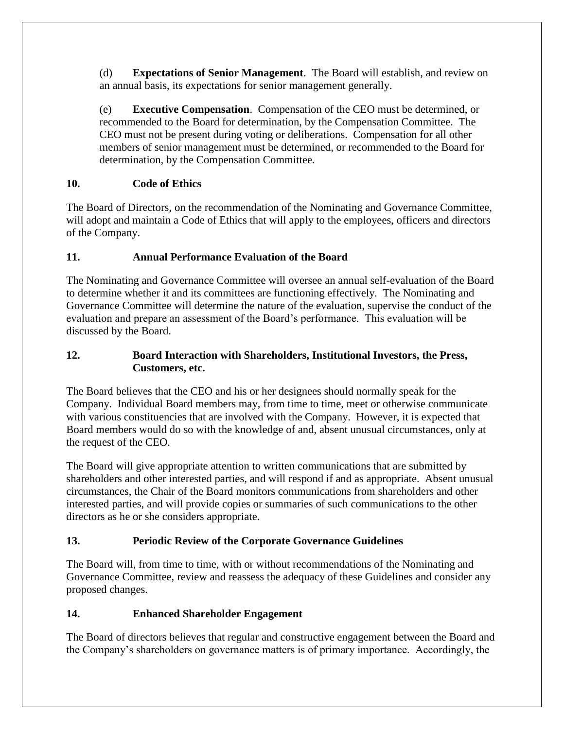(d) **Expectations of Senior Management**. The Board will establish, and review on an annual basis, its expectations for senior management generally.

(e) **Executive Compensation**. Compensation of the CEO must be determined, or recommended to the Board for determination, by the Compensation Committee. The CEO must not be present during voting or deliberations. Compensation for all other members of senior management must be determined, or recommended to the Board for determination, by the Compensation Committee.

# <span id="page-10-0"></span>**10. Code of Ethics**

The Board of Directors, on the recommendation of the Nominating and Governance Committee, will adopt and maintain a Code of Ethics that will apply to the employees, officers and directors of the Company.

# <span id="page-10-1"></span>**11. Annual Performance Evaluation of the Board**

The Nominating and Governance Committee will oversee an annual self-evaluation of the Board to determine whether it and its committees are functioning effectively. The Nominating and Governance Committee will determine the nature of the evaluation, supervise the conduct of the evaluation and prepare an assessment of the Board's performance. This evaluation will be discussed by the Board.

# <span id="page-10-2"></span>**12. Board Interaction with Shareholders, Institutional Investors, the Press, Customers, etc.**

The Board believes that the CEO and his or her designees should normally speak for the Company. Individual Board members may, from time to time, meet or otherwise communicate with various constituencies that are involved with the Company. However, it is expected that Board members would do so with the knowledge of and, absent unusual circumstances, only at the request of the CEO.

The Board will give appropriate attention to written communications that are submitted by shareholders and other interested parties, and will respond if and as appropriate. Absent unusual circumstances, the Chair of the Board monitors communications from shareholders and other interested parties, and will provide copies or summaries of such communications to the other directors as he or she considers appropriate.

# <span id="page-10-3"></span>**13. Periodic Review of the Corporate Governance Guidelines**

The Board will, from time to time, with or without recommendations of the Nominating and Governance Committee, review and reassess the adequacy of these Guidelines and consider any proposed changes.

# <span id="page-10-4"></span>**14. Enhanced Shareholder Engagement**

The Board of directors believes that regular and constructive engagement between the Board and the Company's shareholders on governance matters is of primary importance. Accordingly, the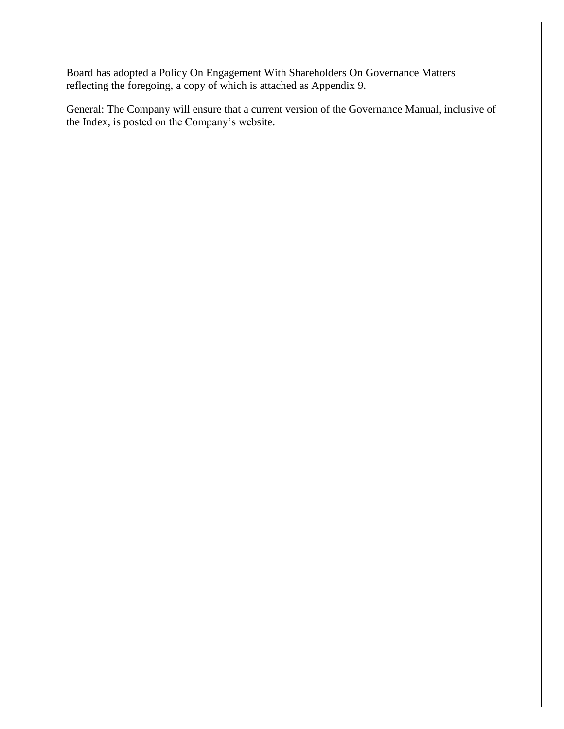Board has adopted a Policy On Engagement With Shareholders On Governance Matters reflecting the foregoing, a copy of which is attached as Appendix 9.

General: The Company will ensure that a current version of the Governance Manual, inclusive of the Index, is posted on the Company's website.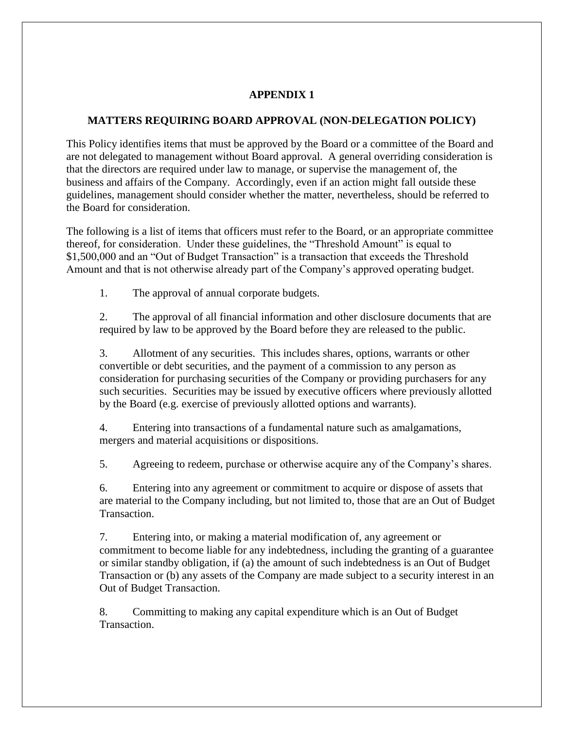#### **APPENDIX 1**

#### <span id="page-12-0"></span>**MATTERS REQUIRING BOARD APPROVAL (NON-DELEGATION POLICY)**

This Policy identifies items that must be approved by the Board or a committee of the Board and are not delegated to management without Board approval. A general overriding consideration is that the directors are required under law to manage, or supervise the management of, the business and affairs of the Company. Accordingly, even if an action might fall outside these guidelines, management should consider whether the matter, nevertheless, should be referred to the Board for consideration.

The following is a list of items that officers must refer to the Board, or an appropriate committee thereof, for consideration. Under these guidelines, the "Threshold Amount" is equal to \$1,500,000 and an "Out of Budget Transaction" is a transaction that exceeds the Threshold Amount and that is not otherwise already part of the Company's approved operating budget.

1. The approval of annual corporate budgets.

2. The approval of all financial information and other disclosure documents that are required by law to be approved by the Board before they are released to the public.

3. Allotment of any securities. This includes shares, options, warrants or other convertible or debt securities, and the payment of a commission to any person as consideration for purchasing securities of the Company or providing purchasers for any such securities. Securities may be issued by executive officers where previously allotted by the Board (e.g. exercise of previously allotted options and warrants).

4. Entering into transactions of a fundamental nature such as amalgamations, mergers and material acquisitions or dispositions.

5. Agreeing to redeem, purchase or otherwise acquire any of the Company's shares.

6. Entering into any agreement or commitment to acquire or dispose of assets that are material to the Company including, but not limited to, those that are an Out of Budget Transaction.

7. Entering into, or making a material modification of, any agreement or commitment to become liable for any indebtedness, including the granting of a guarantee or similar standby obligation, if (a) the amount of such indebtedness is an Out of Budget Transaction or (b) any assets of the Company are made subject to a security interest in an Out of Budget Transaction.

8. Committing to making any capital expenditure which is an Out of Budget Transaction.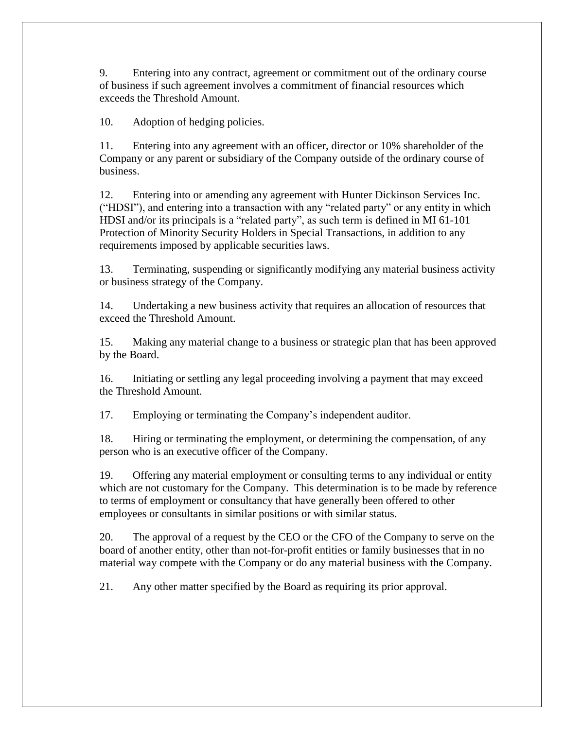9. Entering into any contract, agreement or commitment out of the ordinary course of business if such agreement involves a commitment of financial resources which exceeds the Threshold Amount.

10. Adoption of hedging policies.

11. Entering into any agreement with an officer, director or 10% shareholder of the Company or any parent or subsidiary of the Company outside of the ordinary course of business.

12. Entering into or amending any agreement with Hunter Dickinson Services Inc. ("HDSI"), and entering into a transaction with any "related party" or any entity in which HDSI and/or its principals is a "related party", as such term is defined in MI 61-101 Protection of Minority Security Holders in Special Transactions, in addition to any requirements imposed by applicable securities laws.

13. Terminating, suspending or significantly modifying any material business activity or business strategy of the Company.

14. Undertaking a new business activity that requires an allocation of resources that exceed the Threshold Amount.

15. Making any material change to a business or strategic plan that has been approved by the Board.

16. Initiating or settling any legal proceeding involving a payment that may exceed the Threshold Amount.

17. Employing or terminating the Company's independent auditor.

18. Hiring or terminating the employment, or determining the compensation, of any person who is an executive officer of the Company.

19. Offering any material employment or consulting terms to any individual or entity which are not customary for the Company. This determination is to be made by reference to terms of employment or consultancy that have generally been offered to other employees or consultants in similar positions or with similar status.

20. The approval of a request by the CEO or the CFO of the Company to serve on the board of another entity, other than not-for-profit entities or family businesses that in no material way compete with the Company or do any material business with the Company.

21. Any other matter specified by the Board as requiring its prior approval.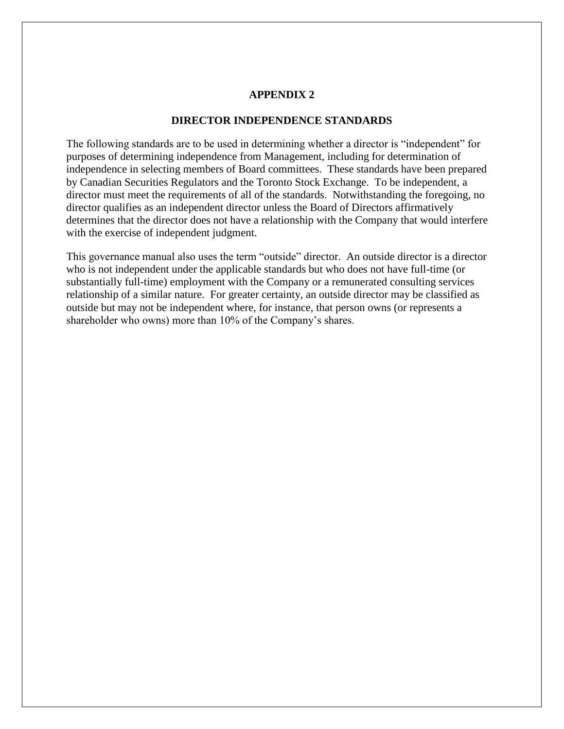#### **APPENDIX 2**

#### **DIRECTOR INDEPENDENCE STANDARDS**

<span id="page-14-0"></span>The following standards are to be used in determining whether a director is "independent" for purposes of determining independence from Management, including for determination of independence in selecting members of Board committees. These standards have been prepared by Canadian Securities Regulators and the Toronto Stock Exchange. To be independent, a director must meet the requirements of all of the standards. Notwithstanding the foregoing, no director qualifies as an independent director unless the Board of Directors affirmatively determines that the director does not have a relationship with the Company that would interfere with the exercise of independent judgment.

This governance manual also uses the term "outside" director. An outside director is a director who is not independent under the applicable standards but who does not have full-time (or substantially full-time) employment with the Company or a remunerated consulting services relationship of a similar nature. For greater certainty, an outside director may be classified as outside but may not be independent where, for instance, that person owns (or represents a shareholder who owns) more than 10% of the Company's shares.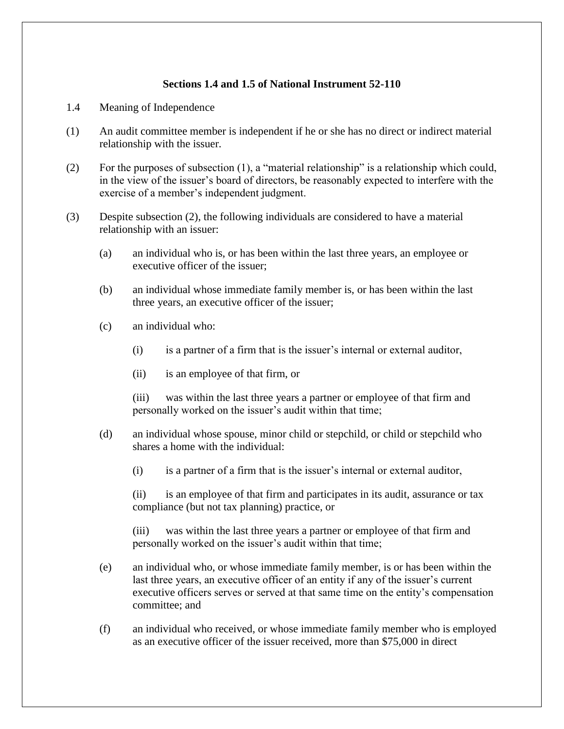#### **Sections 1.4 and 1.5 of National Instrument 52-110**

- 1.4 Meaning of Independence
- (1) An audit committee member is independent if he or she has no direct or indirect material relationship with the issuer.
- (2) For the purposes of subsection (1), a "material relationship" is a relationship which could, in the view of the issuer's board of directors, be reasonably expected to interfere with the exercise of a member's independent judgment.
- (3) Despite subsection (2), the following individuals are considered to have a material relationship with an issuer:
	- (a) an individual who is, or has been within the last three years, an employee or executive officer of the issuer;
	- (b) an individual whose immediate family member is, or has been within the last three years, an executive officer of the issuer;
	- (c) an individual who:
		- (i) is a partner of a firm that is the issuer's internal or external auditor,
		- (ii) is an employee of that firm, or

(iii) was within the last three years a partner or employee of that firm and personally worked on the issuer's audit within that time;

- (d) an individual whose spouse, minor child or stepchild, or child or stepchild who shares a home with the individual:
	- (i) is a partner of a firm that is the issuer's internal or external auditor,

(ii) is an employee of that firm and participates in its audit, assurance or tax compliance (but not tax planning) practice, or

(iii) was within the last three years a partner or employee of that firm and personally worked on the issuer's audit within that time;

- (e) an individual who, or whose immediate family member, is or has been within the last three years, an executive officer of an entity if any of the issuer's current executive officers serves or served at that same time on the entity's compensation committee; and
- (f) an individual who received, or whose immediate family member who is employed as an executive officer of the issuer received, more than \$75,000 in direct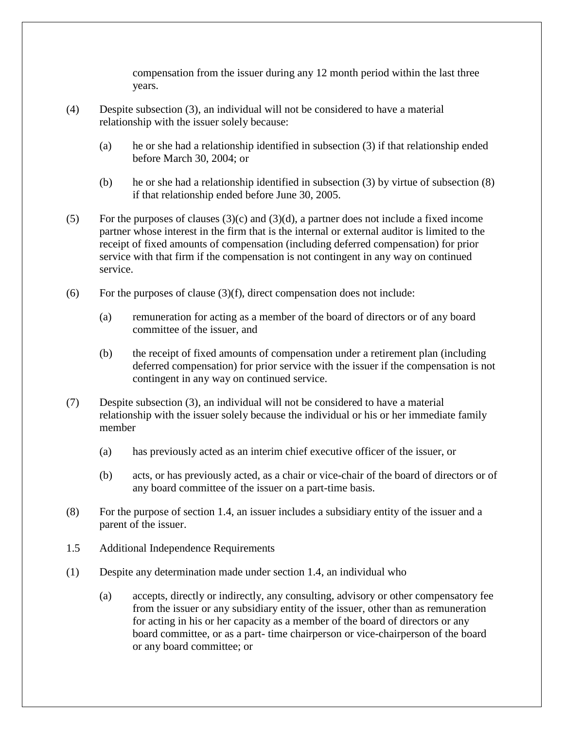compensation from the issuer during any 12 month period within the last three years.

- (4) Despite subsection (3), an individual will not be considered to have a material relationship with the issuer solely because:
	- (a) he or she had a relationship identified in subsection (3) if that relationship ended before March 30, 2004; or
	- (b) he or she had a relationship identified in subsection (3) by virtue of subsection (8) if that relationship ended before June 30, 2005.
- (5) For the purposes of clauses  $(3)(c)$  and  $(3)(d)$ , a partner does not include a fixed income partner whose interest in the firm that is the internal or external auditor is limited to the receipt of fixed amounts of compensation (including deferred compensation) for prior service with that firm if the compensation is not contingent in any way on continued service.
- (6) For the purposes of clause  $(3)(f)$ , direct compensation does not include:
	- (a) remuneration for acting as a member of the board of directors or of any board committee of the issuer, and
	- (b) the receipt of fixed amounts of compensation under a retirement plan (including deferred compensation) for prior service with the issuer if the compensation is not contingent in any way on continued service.
- (7) Despite subsection (3), an individual will not be considered to have a material relationship with the issuer solely because the individual or his or her immediate family member
	- (a) has previously acted as an interim chief executive officer of the issuer, or
	- (b) acts, or has previously acted, as a chair or vice-chair of the board of directors or of any board committee of the issuer on a part-time basis.
- (8) For the purpose of section 1.4, an issuer includes a subsidiary entity of the issuer and a parent of the issuer.
- 1.5 Additional Independence Requirements
- (1) Despite any determination made under section 1.4, an individual who
	- (a) accepts, directly or indirectly, any consulting, advisory or other compensatory fee from the issuer or any subsidiary entity of the issuer, other than as remuneration for acting in his or her capacity as a member of the board of directors or any board committee, or as a part- time chairperson or vice-chairperson of the board or any board committee; or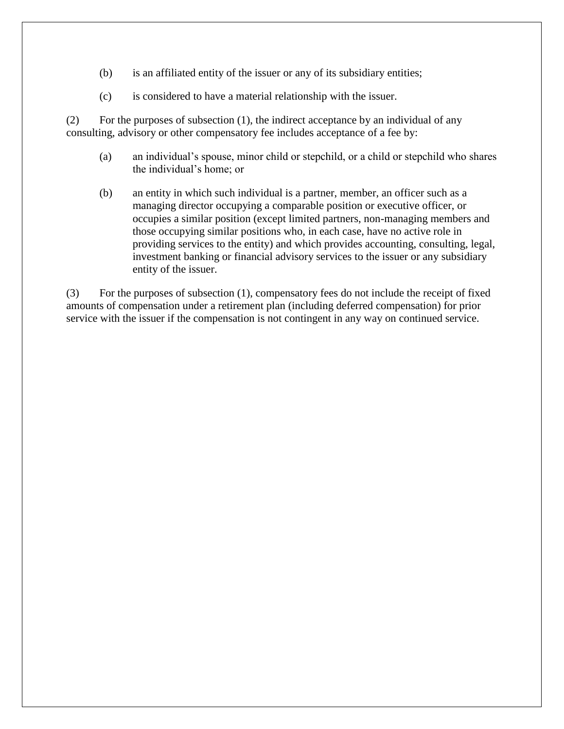- (b) is an affiliated entity of the issuer or any of its subsidiary entities;
- (c) is considered to have a material relationship with the issuer.

(2) For the purposes of subsection (1), the indirect acceptance by an individual of any consulting, advisory or other compensatory fee includes acceptance of a fee by:

- (a) an individual's spouse, minor child or stepchild, or a child or stepchild who shares the individual's home; or
- (b) an entity in which such individual is a partner, member, an officer such as a managing director occupying a comparable position or executive officer, or occupies a similar position (except limited partners, non-managing members and those occupying similar positions who, in each case, have no active role in providing services to the entity) and which provides accounting, consulting, legal, investment banking or financial advisory services to the issuer or any subsidiary entity of the issuer.

(3) For the purposes of subsection (1), compensatory fees do not include the receipt of fixed amounts of compensation under a retirement plan (including deferred compensation) for prior service with the issuer if the compensation is not contingent in any way on continued service.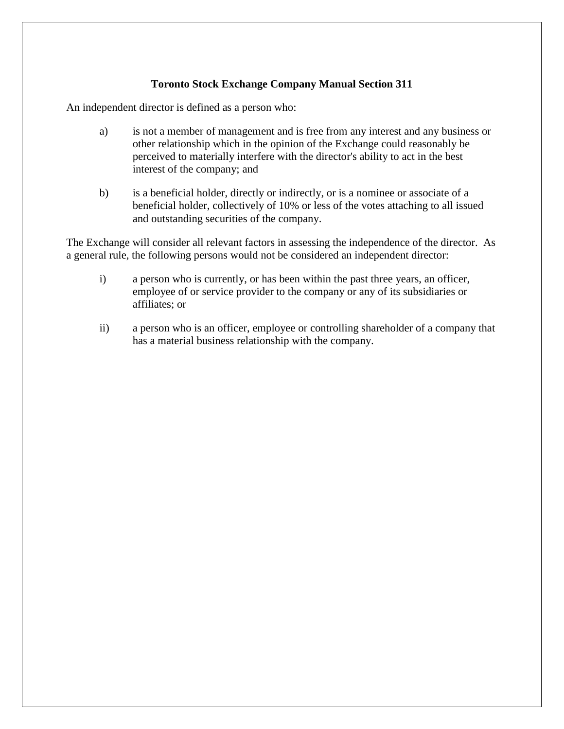#### **Toronto Stock Exchange Company Manual Section 311**

An independent director is defined as a person who:

- a) is not a member of management and is free from any interest and any business or other relationship which in the opinion of the Exchange could reasonably be perceived to materially interfere with the director's ability to act in the best interest of the company; and
- b) is a beneficial holder, directly or indirectly, or is a nominee or associate of a beneficial holder, collectively of 10% or less of the votes attaching to all issued and outstanding securities of the company.

The Exchange will consider all relevant factors in assessing the independence of the director. As a general rule, the following persons would not be considered an independent director:

- i) a person who is currently, or has been within the past three years, an officer, employee of or service provider to the company or any of its subsidiaries or affiliates; or
- ii) a person who is an officer, employee or controlling shareholder of a company that has a material business relationship with the company.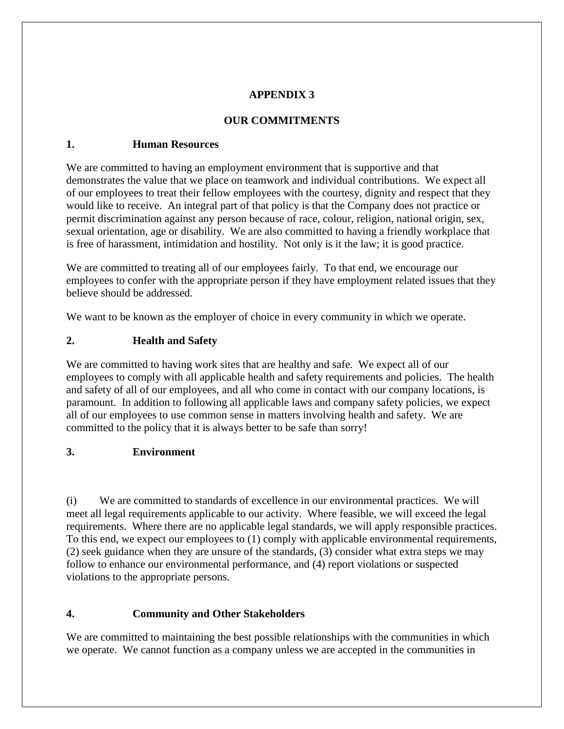#### **APPENDIX 3**

#### **OUR COMMITMENTS**

#### <span id="page-19-1"></span><span id="page-19-0"></span>**1. Human Resources**

We are committed to having an employment environment that is supportive and that demonstrates the value that we place on teamwork and individual contributions. We expect all of our employees to treat their fellow employees with the courtesy, dignity and respect that they would like to receive. An integral part of that policy is that the Company does not practice or permit discrimination against any person because of race, colour, religion, national origin, sex, sexual orientation, age or disability. We are also committed to having a friendly workplace that is free of harassment, intimidation and hostility. Not only is it the law; it is good practice.

We are committed to treating all of our employees fairly. To that end, we encourage our employees to confer with the appropriate person if they have employment related issues that they believe should be addressed.

<span id="page-19-2"></span>We want to be known as the employer of choice in every community in which we operate.

## **2. Health and Safety**

We are committed to having work sites that are healthy and safe. We expect all of our employees to comply with all applicable health and safety requirements and policies. The health and safety of all of our employees, and all who come in contact with our company locations, is paramount. In addition to following all applicable laws and company safety policies, we expect all of our employees to use common sense in matters involving health and safety. We are committed to the policy that it is always better to be safe than sorry!

#### <span id="page-19-3"></span>**3. Environment**

(i) We are committed to standards of excellence in our environmental practices. We will meet all legal requirements applicable to our activity. Where feasible, we will exceed the legal requirements. Where there are no applicable legal standards, we will apply responsible practices. To this end, we expect our employees to (1) comply with applicable environmental requirements, (2) seek guidance when they are unsure of the standards, (3) consider what extra steps we may follow to enhance our environmental performance, and (4) report violations or suspected violations to the appropriate persons.

# <span id="page-19-4"></span>**4. Community and Other Stakeholders**

We are committed to maintaining the best possible relationships with the communities in which we operate. We cannot function as a company unless we are accepted in the communities in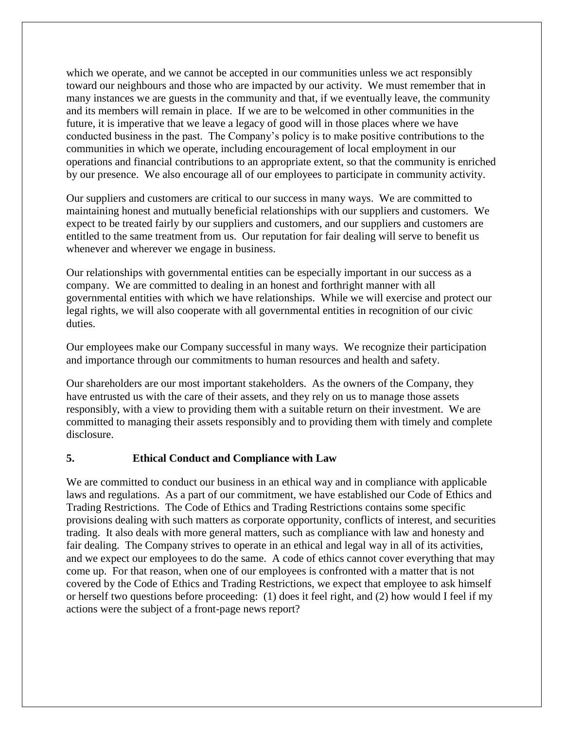which we operate, and we cannot be accepted in our communities unless we act responsibly toward our neighbours and those who are impacted by our activity. We must remember that in many instances we are guests in the community and that, if we eventually leave, the community and its members will remain in place. If we are to be welcomed in other communities in the future, it is imperative that we leave a legacy of good will in those places where we have conducted business in the past. The Company's policy is to make positive contributions to the communities in which we operate, including encouragement of local employment in our operations and financial contributions to an appropriate extent, so that the community is enriched by our presence. We also encourage all of our employees to participate in community activity.

Our suppliers and customers are critical to our success in many ways. We are committed to maintaining honest and mutually beneficial relationships with our suppliers and customers. We expect to be treated fairly by our suppliers and customers, and our suppliers and customers are entitled to the same treatment from us. Our reputation for fair dealing will serve to benefit us whenever and wherever we engage in business.

Our relationships with governmental entities can be especially important in our success as a company. We are committed to dealing in an honest and forthright manner with all governmental entities with which we have relationships. While we will exercise and protect our legal rights, we will also cooperate with all governmental entities in recognition of our civic duties.

Our employees make our Company successful in many ways. We recognize their participation and importance through our commitments to human resources and health and safety.

Our shareholders are our most important stakeholders. As the owners of the Company, they have entrusted us with the care of their assets, and they rely on us to manage those assets responsibly, with a view to providing them with a suitable return on their investment. We are committed to managing their assets responsibly and to providing them with timely and complete disclosure.

#### <span id="page-20-0"></span>**5. Ethical Conduct and Compliance with Law**

We are committed to conduct our business in an ethical way and in compliance with applicable laws and regulations. As a part of our commitment, we have established our Code of Ethics and Trading Restrictions. The Code of Ethics and Trading Restrictions contains some specific provisions dealing with such matters as corporate opportunity, conflicts of interest, and securities trading. It also deals with more general matters, such as compliance with law and honesty and fair dealing. The Company strives to operate in an ethical and legal way in all of its activities, and we expect our employees to do the same. A code of ethics cannot cover everything that may come up. For that reason, when one of our employees is confronted with a matter that is not covered by the Code of Ethics and Trading Restrictions, we expect that employee to ask himself or herself two questions before proceeding: (1) does it feel right, and (2) how would I feel if my actions were the subject of a front-page news report?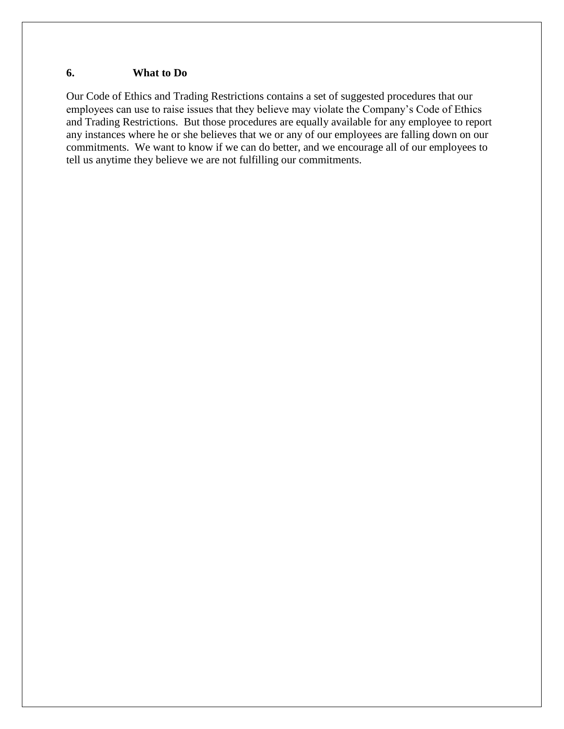#### <span id="page-21-0"></span>**6. What to Do**

Our Code of Ethics and Trading Restrictions contains a set of suggested procedures that our employees can use to raise issues that they believe may violate the Company's Code of Ethics and Trading Restrictions. But those procedures are equally available for any employee to report any instances where he or she believes that we or any of our employees are falling down on our commitments. We want to know if we can do better, and we encourage all of our employees to tell us anytime they believe we are not fulfilling our commitments.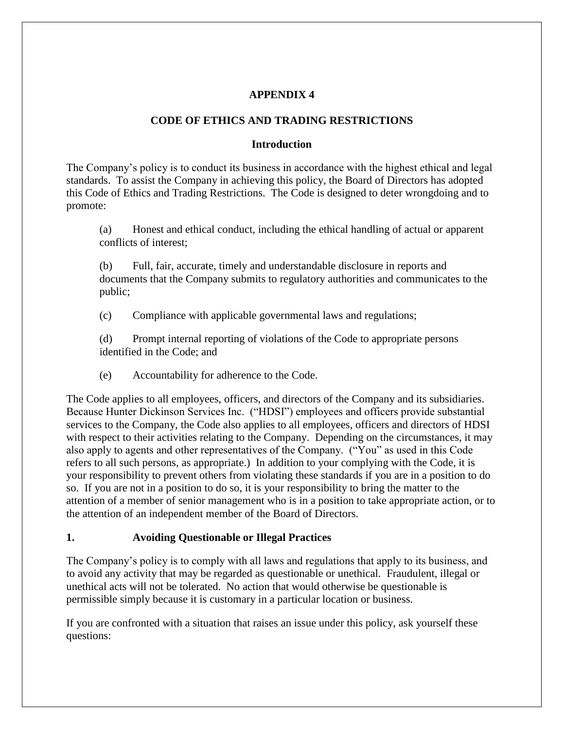#### **APPENDIX 4**

#### **CODE OF ETHICS AND TRADING RESTRICTIONS**

#### **Introduction**

<span id="page-22-0"></span>The Company's policy is to conduct its business in accordance with the highest ethical and legal standards. To assist the Company in achieving this policy, the Board of Directors has adopted this Code of Ethics and Trading Restrictions. The Code is designed to deter wrongdoing and to promote:

(a) Honest and ethical conduct, including the ethical handling of actual or apparent conflicts of interest;

(b) Full, fair, accurate, timely and understandable disclosure in reports and documents that the Company submits to regulatory authorities and communicates to the public;

(c) Compliance with applicable governmental laws and regulations;

(d) Prompt internal reporting of violations of the Code to appropriate persons identified in the Code; and

(e) Accountability for adherence to the Code.

The Code applies to all employees, officers, and directors of the Company and its subsidiaries. Because Hunter Dickinson Services Inc. ("HDSI") employees and officers provide substantial services to the Company, the Code also applies to all employees, officers and directors of HDSI with respect to their activities relating to the Company. Depending on the circumstances, it may also apply to agents and other representatives of the Company. ("You" as used in this Code refers to all such persons, as appropriate.) In addition to your complying with the Code, it is your responsibility to prevent others from violating these standards if you are in a position to do so. If you are not in a position to do so, it is your responsibility to bring the matter to the attention of a member of senior management who is in a position to take appropriate action, or to the attention of an independent member of the Board of Directors.

#### <span id="page-22-1"></span>**1. Avoiding Questionable or Illegal Practices**

The Company's policy is to comply with all laws and regulations that apply to its business, and to avoid any activity that may be regarded as questionable or unethical. Fraudulent, illegal or unethical acts will not be tolerated. No action that would otherwise be questionable is permissible simply because it is customary in a particular location or business.

If you are confronted with a situation that raises an issue under this policy, ask yourself these questions: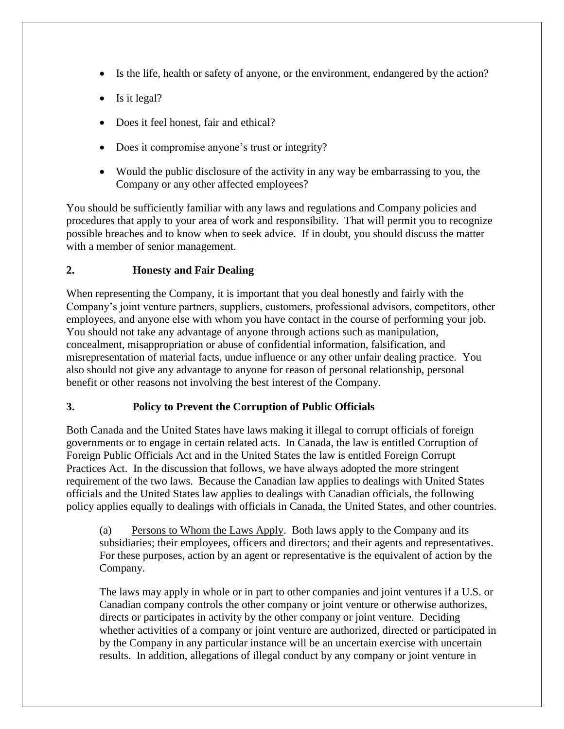- Is the life, health or safety of anyone, or the environment, endangered by the action?
- $\bullet$  Is it legal?
- Does it feel honest, fair and ethical?
- Does it compromise anyone's trust or integrity?
- Would the public disclosure of the activity in any way be embarrassing to you, the Company or any other affected employees?

You should be sufficiently familiar with any laws and regulations and Company policies and procedures that apply to your area of work and responsibility. That will permit you to recognize possible breaches and to know when to seek advice. If in doubt, you should discuss the matter with a member of senior management.

#### <span id="page-23-0"></span>**2. Honesty and Fair Dealing**

When representing the Company, it is important that you deal honestly and fairly with the Company's joint venture partners, suppliers, customers, professional advisors, competitors, other employees, and anyone else with whom you have contact in the course of performing your job. You should not take any advantage of anyone through actions such as manipulation, concealment, misappropriation or abuse of confidential information, falsification, and misrepresentation of material facts, undue influence or any other unfair dealing practice. You also should not give any advantage to anyone for reason of personal relationship, personal benefit or other reasons not involving the best interest of the Company.

#### <span id="page-23-1"></span>**3. Policy to Prevent the Corruption of Public Officials**

Both Canada and the United States have laws making it illegal to corrupt officials of foreign governments or to engage in certain related acts. In Canada, the law is entitled Corruption of Foreign Public Officials Act and in the United States the law is entitled Foreign Corrupt Practices Act. In the discussion that follows, we have always adopted the more stringent requirement of the two laws. Because the Canadian law applies to dealings with United States officials and the United States law applies to dealings with Canadian officials, the following policy applies equally to dealings with officials in Canada, the United States, and other countries.

(a) Persons to Whom the Laws Apply. Both laws apply to the Company and its subsidiaries; their employees, officers and directors; and their agents and representatives. For these purposes, action by an agent or representative is the equivalent of action by the Company.

The laws may apply in whole or in part to other companies and joint ventures if a U.S. or Canadian company controls the other company or joint venture or otherwise authorizes, directs or participates in activity by the other company or joint venture. Deciding whether activities of a company or joint venture are authorized, directed or participated in by the Company in any particular instance will be an uncertain exercise with uncertain results. In addition, allegations of illegal conduct by any company or joint venture in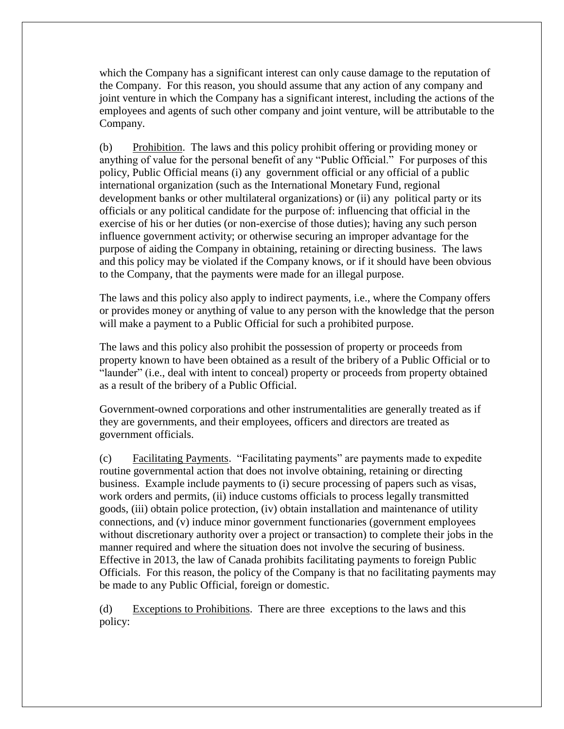which the Company has a significant interest can only cause damage to the reputation of the Company. For this reason, you should assume that any action of any company and joint venture in which the Company has a significant interest, including the actions of the employees and agents of such other company and joint venture, will be attributable to the Company.

(b) Prohibition. The laws and this policy prohibit offering or providing money or anything of value for the personal benefit of any "Public Official." For purposes of this policy, Public Official means (i) any government official or any official of a public international organization (such as the International Monetary Fund, regional development banks or other multilateral organizations) or (ii) any political party or its officials or any political candidate for the purpose of: influencing that official in the exercise of his or her duties (or non-exercise of those duties); having any such person influence government activity; or otherwise securing an improper advantage for the purpose of aiding the Company in obtaining, retaining or directing business. The laws and this policy may be violated if the Company knows, or if it should have been obvious to the Company, that the payments were made for an illegal purpose.

The laws and this policy also apply to indirect payments, i.e., where the Company offers or provides money or anything of value to any person with the knowledge that the person will make a payment to a Public Official for such a prohibited purpose.

The laws and this policy also prohibit the possession of property or proceeds from property known to have been obtained as a result of the bribery of a Public Official or to "launder" (i.e., deal with intent to conceal) property or proceeds from property obtained as a result of the bribery of a Public Official.

Government-owned corporations and other instrumentalities are generally treated as if they are governments, and their employees, officers and directors are treated as government officials.

(c) Facilitating Payments. "Facilitating payments" are payments made to expedite routine governmental action that does not involve obtaining, retaining or directing business. Example include payments to (i) secure processing of papers such as visas, work orders and permits, (ii) induce customs officials to process legally transmitted goods, (iii) obtain police protection, (iv) obtain installation and maintenance of utility connections, and (v) induce minor government functionaries (government employees without discretionary authority over a project or transaction) to complete their jobs in the manner required and where the situation does not involve the securing of business. Effective in 2013, the law of Canada prohibits facilitating payments to foreign Public Officials. For this reason, the policy of the Company is that no facilitating payments may be made to any Public Official, foreign or domestic.

(d) Exceptions to Prohibitions. There are three exceptions to the laws and this policy: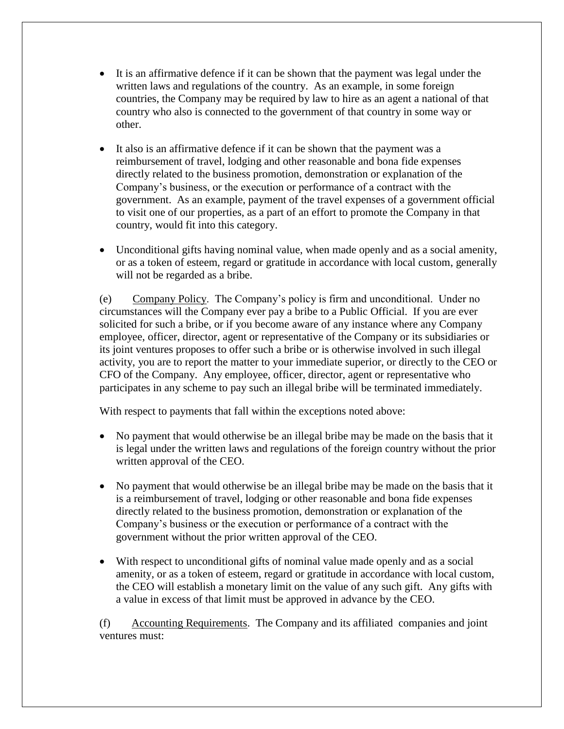- It is an affirmative defence if it can be shown that the payment was legal under the written laws and regulations of the country. As an example, in some foreign countries, the Company may be required by law to hire as an agent a national of that country who also is connected to the government of that country in some way or other.
- It also is an affirmative defence if it can be shown that the payment was a reimbursement of travel, lodging and other reasonable and bona fide expenses directly related to the business promotion, demonstration or explanation of the Company's business, or the execution or performance of a contract with the government. As an example, payment of the travel expenses of a government official to visit one of our properties, as a part of an effort to promote the Company in that country, would fit into this category.
- Unconditional gifts having nominal value, when made openly and as a social amenity, or as a token of esteem, regard or gratitude in accordance with local custom, generally will not be regarded as a bribe.

(e) Company Policy. The Company's policy is firm and unconditional. Under no circumstances will the Company ever pay a bribe to a Public Official. If you are ever solicited for such a bribe, or if you become aware of any instance where any Company employee, officer, director, agent or representative of the Company or its subsidiaries or its joint ventures proposes to offer such a bribe or is otherwise involved in such illegal activity, you are to report the matter to your immediate superior, or directly to the CEO or CFO of the Company. Any employee, officer, director, agent or representative who participates in any scheme to pay such an illegal bribe will be terminated immediately.

With respect to payments that fall within the exceptions noted above:

- No payment that would otherwise be an illegal bribe may be made on the basis that it is legal under the written laws and regulations of the foreign country without the prior written approval of the CEO.
- No payment that would otherwise be an illegal bribe may be made on the basis that it is a reimbursement of travel, lodging or other reasonable and bona fide expenses directly related to the business promotion, demonstration or explanation of the Company's business or the execution or performance of a contract with the government without the prior written approval of the CEO.
- With respect to unconditional gifts of nominal value made openly and as a social amenity, or as a token of esteem, regard or gratitude in accordance with local custom, the CEO will establish a monetary limit on the value of any such gift. Any gifts with a value in excess of that limit must be approved in advance by the CEO.

(f) Accounting Requirements. The Company and its affiliated companies and joint ventures must: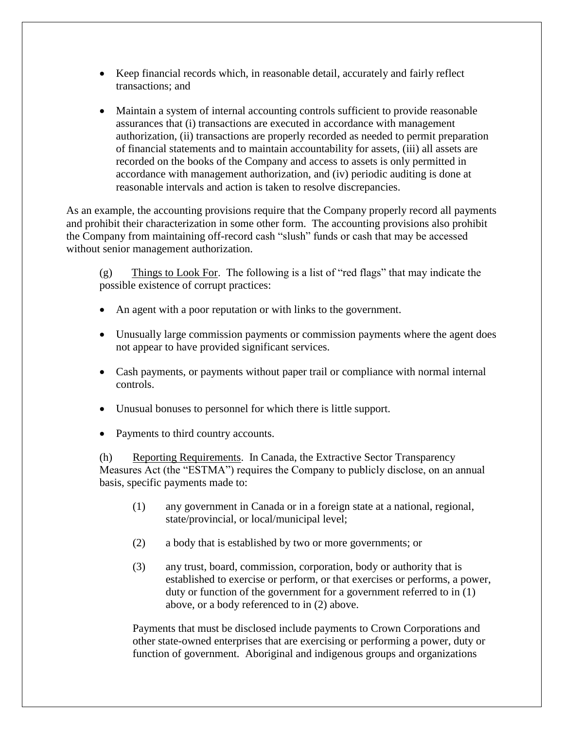- Keep financial records which, in reasonable detail, accurately and fairly reflect transactions; and
- Maintain a system of internal accounting controls sufficient to provide reasonable assurances that (i) transactions are executed in accordance with management authorization, (ii) transactions are properly recorded as needed to permit preparation of financial statements and to maintain accountability for assets, (iii) all assets are recorded on the books of the Company and access to assets is only permitted in accordance with management authorization, and (iv) periodic auditing is done at reasonable intervals and action is taken to resolve discrepancies.

As an example, the accounting provisions require that the Company properly record all payments and prohibit their characterization in some other form. The accounting provisions also prohibit the Company from maintaining off-record cash "slush" funds or cash that may be accessed without senior management authorization.

(g) Things to Look For. The following is a list of "red flags" that may indicate the possible existence of corrupt practices:

- An agent with a poor reputation or with links to the government.
- Unusually large commission payments or commission payments where the agent does not appear to have provided significant services.
- Cash payments, or payments without paper trail or compliance with normal internal controls.
- Unusual bonuses to personnel for which there is little support.
- Payments to third country accounts.

(h) Reporting Requirements. In Canada, the Extractive Sector Transparency Measures Act (the "ESTMA") requires the Company to publicly disclose, on an annual basis, specific payments made to:

- (1) any government in Canada or in a foreign state at a national, regional, state/provincial, or local/municipal level;
- (2) a body that is established by two or more governments; or
- (3) any trust, board, commission, corporation, body or authority that is established to exercise or perform, or that exercises or performs, a power, duty or function of the government for a government referred to in (1) above, or a body referenced to in (2) above.

Payments that must be disclosed include payments to Crown Corporations and other state-owned enterprises that are exercising or performing a power, duty or function of government. Aboriginal and indigenous groups and organizations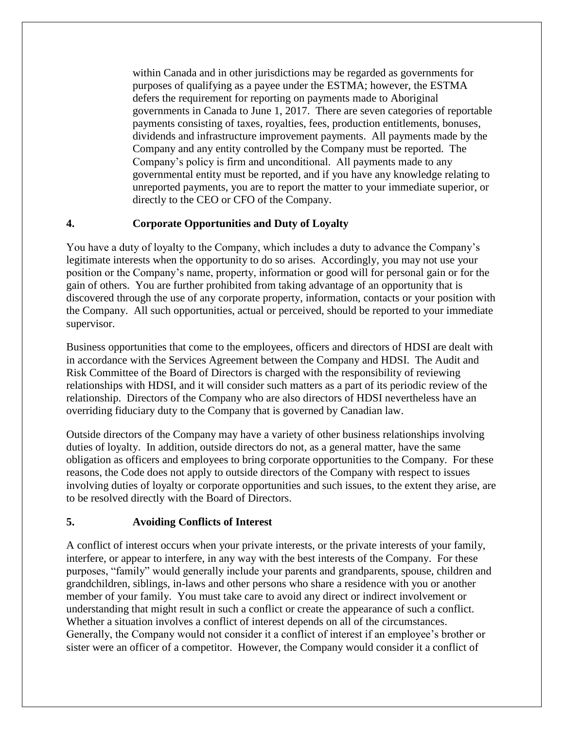within Canada and in other jurisdictions may be regarded as governments for purposes of qualifying as a payee under the ESTMA; however, the ESTMA defers the requirement for reporting on payments made to Aboriginal governments in Canada to June 1, 2017. There are seven categories of reportable payments consisting of taxes, royalties, fees, production entitlements, bonuses, dividends and infrastructure improvement payments. All payments made by the Company and any entity controlled by the Company must be reported. The Company's policy is firm and unconditional. All payments made to any governmental entity must be reported, and if you have any knowledge relating to unreported payments, you are to report the matter to your immediate superior, or directly to the CEO or CFO of the Company.

#### <span id="page-27-0"></span>**4. Corporate Opportunities and Duty of Loyalty**

You have a duty of loyalty to the Company, which includes a duty to advance the Company's legitimate interests when the opportunity to do so arises. Accordingly, you may not use your position or the Company's name, property, information or good will for personal gain or for the gain of others. You are further prohibited from taking advantage of an opportunity that is discovered through the use of any corporate property, information, contacts or your position with the Company. All such opportunities, actual or perceived, should be reported to your immediate supervisor.

Business opportunities that come to the employees, officers and directors of HDSI are dealt with in accordance with the Services Agreement between the Company and HDSI. The Audit and Risk Committee of the Board of Directors is charged with the responsibility of reviewing relationships with HDSI, and it will consider such matters as a part of its periodic review of the relationship. Directors of the Company who are also directors of HDSI nevertheless have an overriding fiduciary duty to the Company that is governed by Canadian law.

Outside directors of the Company may have a variety of other business relationships involving duties of loyalty. In addition, outside directors do not, as a general matter, have the same obligation as officers and employees to bring corporate opportunities to the Company. For these reasons, the Code does not apply to outside directors of the Company with respect to issues involving duties of loyalty or corporate opportunities and such issues, to the extent they arise, are to be resolved directly with the Board of Directors.

#### <span id="page-27-1"></span>**5. Avoiding Conflicts of Interest**

A conflict of interest occurs when your private interests, or the private interests of your family, interfere, or appear to interfere, in any way with the best interests of the Company. For these purposes, "family" would generally include your parents and grandparents, spouse, children and grandchildren, siblings, in-laws and other persons who share a residence with you or another member of your family. You must take care to avoid any direct or indirect involvement or understanding that might result in such a conflict or create the appearance of such a conflict. Whether a situation involves a conflict of interest depends on all of the circumstances. Generally, the Company would not consider it a conflict of interest if an employee's brother or sister were an officer of a competitor. However, the Company would consider it a conflict of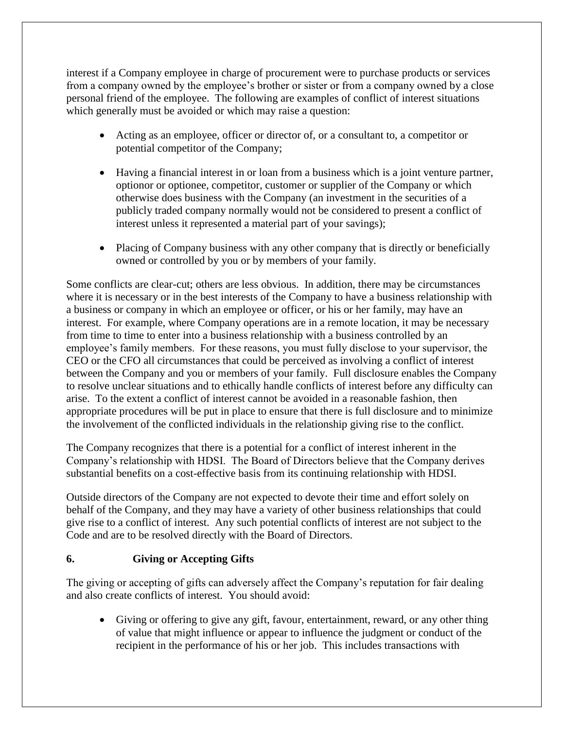interest if a Company employee in charge of procurement were to purchase products or services from a company owned by the employee's brother or sister or from a company owned by a close personal friend of the employee. The following are examples of conflict of interest situations which generally must be avoided or which may raise a question:

- Acting as an employee, officer or director of, or a consultant to, a competitor or potential competitor of the Company;
- Having a financial interest in or loan from a business which is a joint venture partner, optionor or optionee, competitor, customer or supplier of the Company or which otherwise does business with the Company (an investment in the securities of a publicly traded company normally would not be considered to present a conflict of interest unless it represented a material part of your savings);
- Placing of Company business with any other company that is directly or beneficially owned or controlled by you or by members of your family.

Some conflicts are clear-cut; others are less obvious. In addition, there may be circumstances where it is necessary or in the best interests of the Company to have a business relationship with a business or company in which an employee or officer, or his or her family, may have an interest. For example, where Company operations are in a remote location, it may be necessary from time to time to enter into a business relationship with a business controlled by an employee's family members. For these reasons, you must fully disclose to your supervisor, the CEO or the CFO all circumstances that could be perceived as involving a conflict of interest between the Company and you or members of your family. Full disclosure enables the Company to resolve unclear situations and to ethically handle conflicts of interest before any difficulty can arise. To the extent a conflict of interest cannot be avoided in a reasonable fashion, then appropriate procedures will be put in place to ensure that there is full disclosure and to minimize the involvement of the conflicted individuals in the relationship giving rise to the conflict.

The Company recognizes that there is a potential for a conflict of interest inherent in the Company's relationship with HDSI. The Board of Directors believe that the Company derives substantial benefits on a cost-effective basis from its continuing relationship with HDSI.

Outside directors of the Company are not expected to devote their time and effort solely on behalf of the Company, and they may have a variety of other business relationships that could give rise to a conflict of interest. Any such potential conflicts of interest are not subject to the Code and are to be resolved directly with the Board of Directors.

#### <span id="page-28-0"></span>**6. Giving or Accepting Gifts**

The giving or accepting of gifts can adversely affect the Company's reputation for fair dealing and also create conflicts of interest. You should avoid:

 Giving or offering to give any gift, favour, entertainment, reward, or any other thing of value that might influence or appear to influence the judgment or conduct of the recipient in the performance of his or her job. This includes transactions with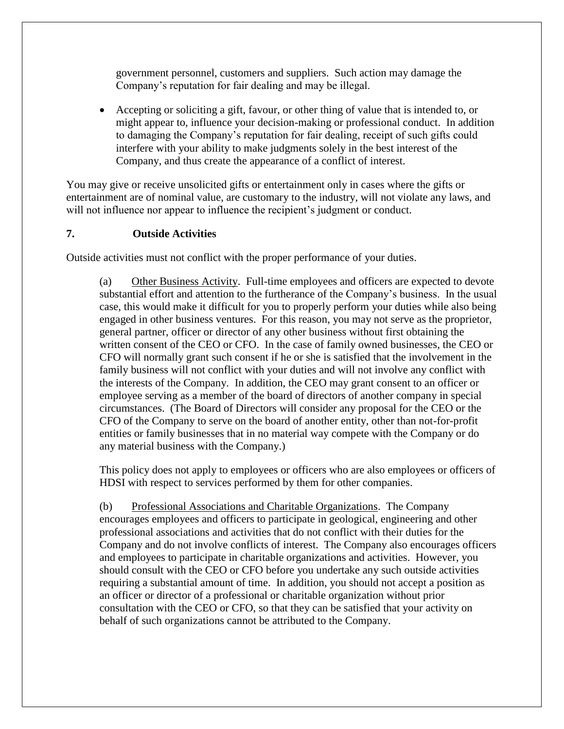government personnel, customers and suppliers. Such action may damage the Company's reputation for fair dealing and may be illegal.

 Accepting or soliciting a gift, favour, or other thing of value that is intended to, or might appear to, influence your decision-making or professional conduct. In addition to damaging the Company's reputation for fair dealing, receipt of such gifts could interfere with your ability to make judgments solely in the best interest of the Company, and thus create the appearance of a conflict of interest.

You may give or receive unsolicited gifts or entertainment only in cases where the gifts or entertainment are of nominal value, are customary to the industry, will not violate any laws, and will not influence nor appear to influence the recipient's judgment or conduct.

#### <span id="page-29-0"></span>**7. Outside Activities**

Outside activities must not conflict with the proper performance of your duties.

(a) Other Business Activity. Full-time employees and officers are expected to devote substantial effort and attention to the furtherance of the Company's business. In the usual case, this would make it difficult for you to properly perform your duties while also being engaged in other business ventures. For this reason, you may not serve as the proprietor, general partner, officer or director of any other business without first obtaining the written consent of the CEO or CFO. In the case of family owned businesses, the CEO or CFO will normally grant such consent if he or she is satisfied that the involvement in the family business will not conflict with your duties and will not involve any conflict with the interests of the Company. In addition, the CEO may grant consent to an officer or employee serving as a member of the board of directors of another company in special circumstances. (The Board of Directors will consider any proposal for the CEO or the CFO of the Company to serve on the board of another entity, other than not-for-profit entities or family businesses that in no material way compete with the Company or do any material business with the Company.)

This policy does not apply to employees or officers who are also employees or officers of HDSI with respect to services performed by them for other companies.

(b) Professional Associations and Charitable Organizations. The Company encourages employees and officers to participate in geological, engineering and other professional associations and activities that do not conflict with their duties for the Company and do not involve conflicts of interest. The Company also encourages officers and employees to participate in charitable organizations and activities. However, you should consult with the CEO or CFO before you undertake any such outside activities requiring a substantial amount of time. In addition, you should not accept a position as an officer or director of a professional or charitable organization without prior consultation with the CEO or CFO, so that they can be satisfied that your activity on behalf of such organizations cannot be attributed to the Company.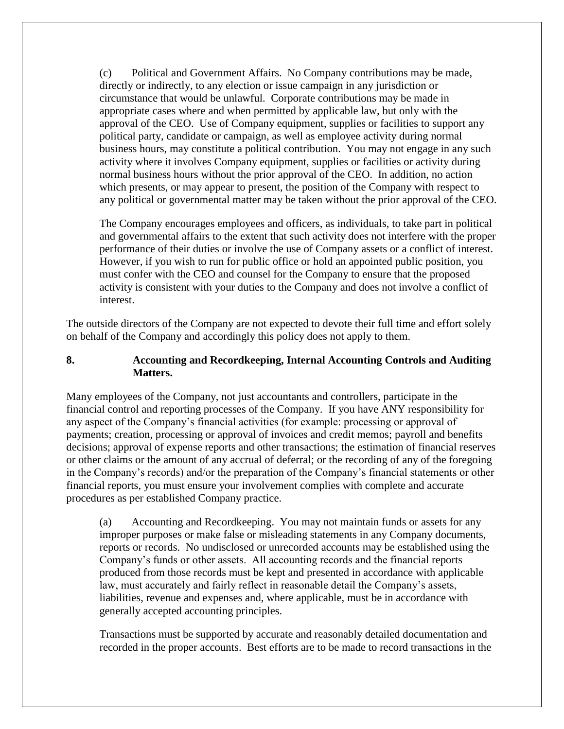(c) Political and Government Affairs. No Company contributions may be made, directly or indirectly, to any election or issue campaign in any jurisdiction or circumstance that would be unlawful. Corporate contributions may be made in appropriate cases where and when permitted by applicable law, but only with the approval of the CEO. Use of Company equipment, supplies or facilities to support any political party, candidate or campaign, as well as employee activity during normal business hours, may constitute a political contribution. You may not engage in any such activity where it involves Company equipment, supplies or facilities or activity during normal business hours without the prior approval of the CEO. In addition, no action which presents, or may appear to present, the position of the Company with respect to any political or governmental matter may be taken without the prior approval of the CEO.

The Company encourages employees and officers, as individuals, to take part in political and governmental affairs to the extent that such activity does not interfere with the proper performance of their duties or involve the use of Company assets or a conflict of interest. However, if you wish to run for public office or hold an appointed public position, you must confer with the CEO and counsel for the Company to ensure that the proposed activity is consistent with your duties to the Company and does not involve a conflict of interest.

The outside directors of the Company are not expected to devote their full time and effort solely on behalf of the Company and accordingly this policy does not apply to them.

#### <span id="page-30-0"></span>**8. Accounting and Recordkeeping, Internal Accounting Controls and Auditing Matters.**

Many employees of the Company, not just accountants and controllers, participate in the financial control and reporting processes of the Company. If you have ANY responsibility for any aspect of the Company's financial activities (for example: processing or approval of payments; creation, processing or approval of invoices and credit memos; payroll and benefits decisions; approval of expense reports and other transactions; the estimation of financial reserves or other claims or the amount of any accrual of deferral; or the recording of any of the foregoing in the Company's records) and/or the preparation of the Company's financial statements or other financial reports, you must ensure your involvement complies with complete and accurate procedures as per established Company practice.

(a) Accounting and Recordkeeping. You may not maintain funds or assets for any improper purposes or make false or misleading statements in any Company documents, reports or records. No undisclosed or unrecorded accounts may be established using the Company's funds or other assets. All accounting records and the financial reports produced from those records must be kept and presented in accordance with applicable law, must accurately and fairly reflect in reasonable detail the Company's assets, liabilities, revenue and expenses and, where applicable, must be in accordance with generally accepted accounting principles.

Transactions must be supported by accurate and reasonably detailed documentation and recorded in the proper accounts. Best efforts are to be made to record transactions in the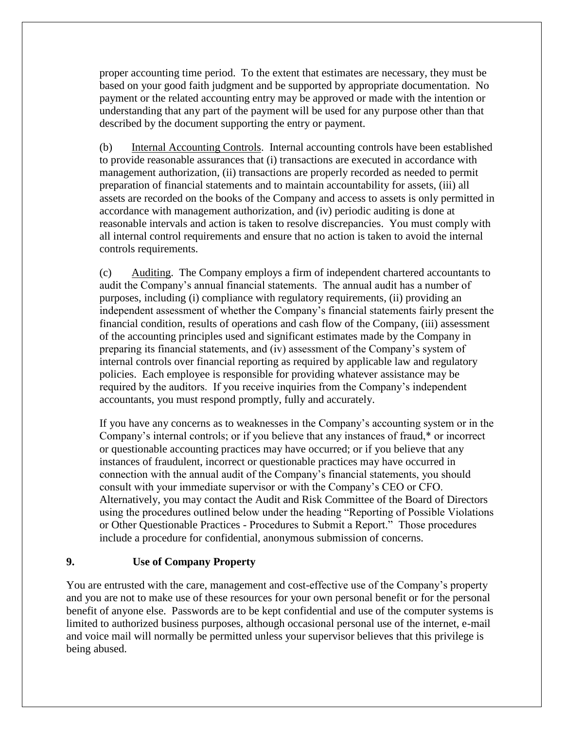proper accounting time period. To the extent that estimates are necessary, they must be based on your good faith judgment and be supported by appropriate documentation. No payment or the related accounting entry may be approved or made with the intention or understanding that any part of the payment will be used for any purpose other than that described by the document supporting the entry or payment.

(b) Internal Accounting Controls. Internal accounting controls have been established to provide reasonable assurances that (i) transactions are executed in accordance with management authorization, (ii) transactions are properly recorded as needed to permit preparation of financial statements and to maintain accountability for assets, (iii) all assets are recorded on the books of the Company and access to assets is only permitted in accordance with management authorization, and (iv) periodic auditing is done at reasonable intervals and action is taken to resolve discrepancies. You must comply with all internal control requirements and ensure that no action is taken to avoid the internal controls requirements.

(c) Auditing. The Company employs a firm of independent chartered accountants to audit the Company's annual financial statements. The annual audit has a number of purposes, including (i) compliance with regulatory requirements, (ii) providing an independent assessment of whether the Company's financial statements fairly present the financial condition, results of operations and cash flow of the Company, (iii) assessment of the accounting principles used and significant estimates made by the Company in preparing its financial statements, and (iv) assessment of the Company's system of internal controls over financial reporting as required by applicable law and regulatory policies. Each employee is responsible for providing whatever assistance may be required by the auditors. If you receive inquiries from the Company's independent accountants, you must respond promptly, fully and accurately.

If you have any concerns as to weaknesses in the Company's accounting system or in the Company's internal controls; or if you believe that any instances of fraud,\* or incorrect or questionable accounting practices may have occurred; or if you believe that any instances of fraudulent, incorrect or questionable practices may have occurred in connection with the annual audit of the Company's financial statements, you should consult with your immediate supervisor or with the Company's CEO or CFO. Alternatively, you may contact the Audit and Risk Committee of the Board of Directors using the procedures outlined below under the heading "Reporting of Possible Violations or Other Questionable Practices - Procedures to Submit a Report." Those procedures include a procedure for confidential, anonymous submission of concerns.

#### <span id="page-31-0"></span>**9. Use of Company Property**

You are entrusted with the care, management and cost-effective use of the Company's property and you are not to make use of these resources for your own personal benefit or for the personal benefit of anyone else. Passwords are to be kept confidential and use of the computer systems is limited to authorized business purposes, although occasional personal use of the internet, e-mail and voice mail will normally be permitted unless your supervisor believes that this privilege is being abused.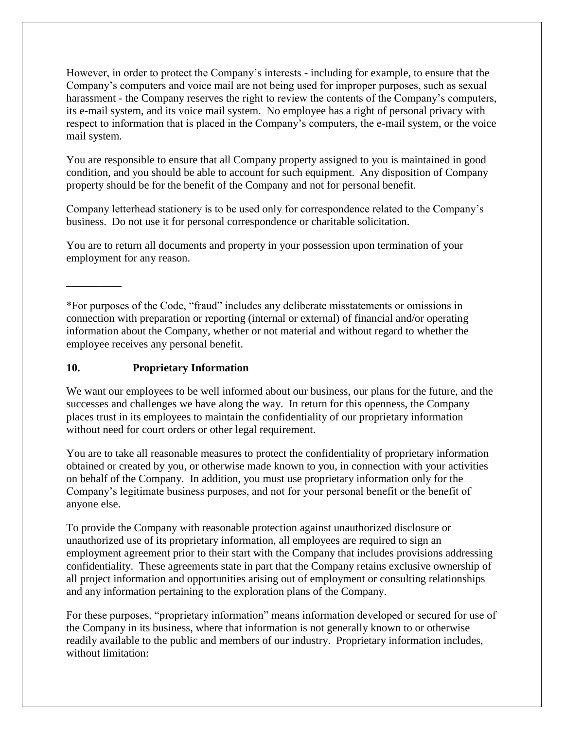However, in order to protect the Company's interests - including for example, to ensure that the Company's computers and voice mail are not being used for improper purposes, such as sexual harassment - the Company reserves the right to review the contents of the Company's computers, its e-mail system, and its voice mail system. No employee has a right of personal privacy with respect to information that is placed in the Company's computers, the e-mail system, or the voice mail system.

You are responsible to ensure that all Company property assigned to you is maintained in good condition, and you should be able to account for such equipment. Any disposition of Company property should be for the benefit of the Company and not for personal benefit.

Company letterhead stationery is to be used only for correspondence related to the Company's business. Do not use it for personal correspondence or charitable solicitation.

You are to return all documents and property in your possession upon termination of your employment for any reason.

\*For purposes of the Code, "fraud" includes any deliberate misstatements or omissions in connection with preparation or reporting (internal or external) of financial and/or operating information about the Company, whether or not material and without regard to whether the employee receives any personal benefit.

#### <span id="page-32-0"></span>**10. Proprietary Information**

 $\overline{\phantom{a}}$ 

We want our employees to be well informed about our business, our plans for the future, and the successes and challenges we have along the way. In return for this openness, the Company places trust in its employees to maintain the confidentiality of our proprietary information without need for court orders or other legal requirement.

You are to take all reasonable measures to protect the confidentiality of proprietary information obtained or created by you, or otherwise made known to you, in connection with your activities on behalf of the Company. In addition, you must use proprietary information only for the Company's legitimate business purposes, and not for your personal benefit or the benefit of anyone else.

To provide the Company with reasonable protection against unauthorized disclosure or unauthorized use of its proprietary information, all employees are required to sign an employment agreement prior to their start with the Company that includes provisions addressing confidentiality. These agreements state in part that the Company retains exclusive ownership of all project information and opportunities arising out of employment or consulting relationships and any information pertaining to the exploration plans of the Company.

For these purposes, "proprietary information" means information developed or secured for use of the Company in its business, where that information is not generally known to or otherwise readily available to the public and members of our industry. Proprietary information includes, without limitation: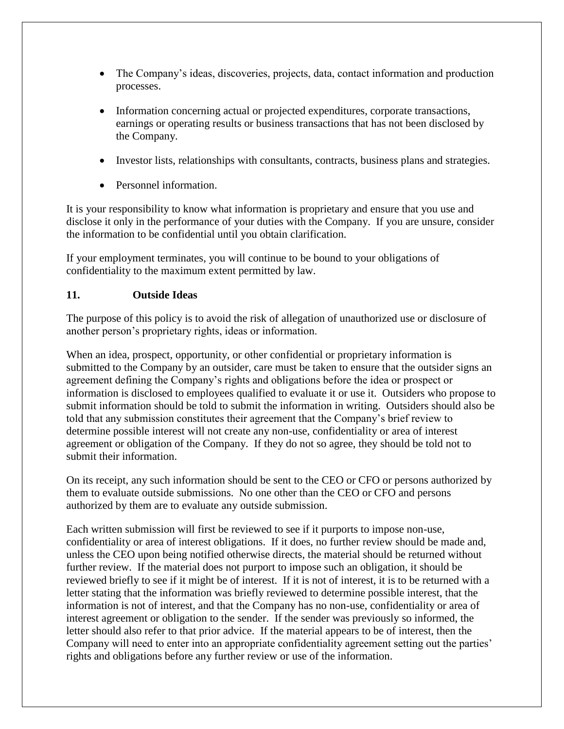- The Company's ideas, discoveries, projects, data, contact information and production processes.
- Information concerning actual or projected expenditures, corporate transactions, earnings or operating results or business transactions that has not been disclosed by the Company.
- Investor lists, relationships with consultants, contracts, business plans and strategies.
- Personnel information.

It is your responsibility to know what information is proprietary and ensure that you use and disclose it only in the performance of your duties with the Company. If you are unsure, consider the information to be confidential until you obtain clarification.

If your employment terminates, you will continue to be bound to your obligations of confidentiality to the maximum extent permitted by law.

## <span id="page-33-0"></span>**11. Outside Ideas**

The purpose of this policy is to avoid the risk of allegation of unauthorized use or disclosure of another person's proprietary rights, ideas or information.

When an idea, prospect, opportunity, or other confidential or proprietary information is submitted to the Company by an outsider, care must be taken to ensure that the outsider signs an agreement defining the Company's rights and obligations before the idea or prospect or information is disclosed to employees qualified to evaluate it or use it. Outsiders who propose to submit information should be told to submit the information in writing. Outsiders should also be told that any submission constitutes their agreement that the Company's brief review to determine possible interest will not create any non-use, confidentiality or area of interest agreement or obligation of the Company. If they do not so agree, they should be told not to submit their information.

On its receipt, any such information should be sent to the CEO or CFO or persons authorized by them to evaluate outside submissions. No one other than the CEO or CFO and persons authorized by them are to evaluate any outside submission.

Each written submission will first be reviewed to see if it purports to impose non-use, confidentiality or area of interest obligations. If it does, no further review should be made and, unless the CEO upon being notified otherwise directs, the material should be returned without further review. If the material does not purport to impose such an obligation, it should be reviewed briefly to see if it might be of interest. If it is not of interest, it is to be returned with a letter stating that the information was briefly reviewed to determine possible interest, that the information is not of interest, and that the Company has no non-use, confidentiality or area of interest agreement or obligation to the sender. If the sender was previously so informed, the letter should also refer to that prior advice. If the material appears to be of interest, then the Company will need to enter into an appropriate confidentiality agreement setting out the parties' rights and obligations before any further review or use of the information.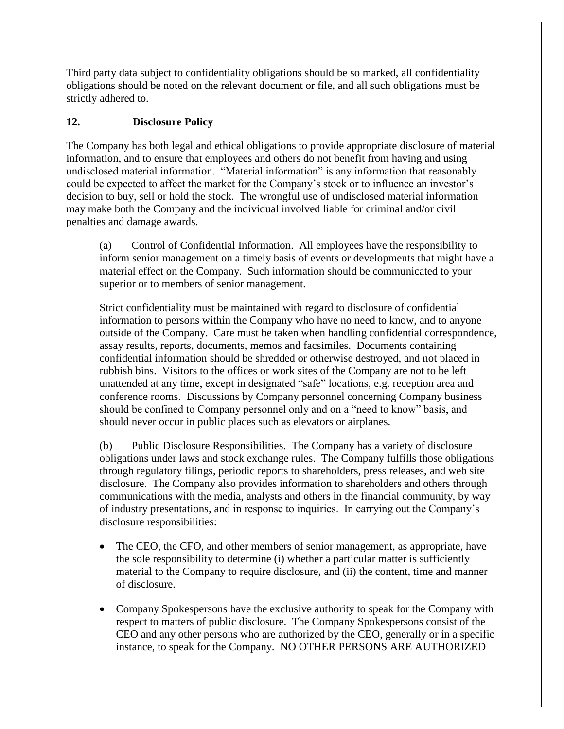Third party data subject to confidentiality obligations should be so marked, all confidentiality obligations should be noted on the relevant document or file, and all such obligations must be strictly adhered to.

## <span id="page-34-0"></span>**12. Disclosure Policy**

The Company has both legal and ethical obligations to provide appropriate disclosure of material information, and to ensure that employees and others do not benefit from having and using undisclosed material information. "Material information" is any information that reasonably could be expected to affect the market for the Company's stock or to influence an investor's decision to buy, sell or hold the stock. The wrongful use of undisclosed material information may make both the Company and the individual involved liable for criminal and/or civil penalties and damage awards.

(a) Control of Confidential Information. All employees have the responsibility to inform senior management on a timely basis of events or developments that might have a material effect on the Company. Such information should be communicated to your superior or to members of senior management.

Strict confidentiality must be maintained with regard to disclosure of confidential information to persons within the Company who have no need to know, and to anyone outside of the Company. Care must be taken when handling confidential correspondence, assay results, reports, documents, memos and facsimiles. Documents containing confidential information should be shredded or otherwise destroyed, and not placed in rubbish bins. Visitors to the offices or work sites of the Company are not to be left unattended at any time, except in designated "safe" locations, e.g. reception area and conference rooms. Discussions by Company personnel concerning Company business should be confined to Company personnel only and on a "need to know" basis, and should never occur in public places such as elevators or airplanes.

(b) Public Disclosure Responsibilities. The Company has a variety of disclosure obligations under laws and stock exchange rules. The Company fulfills those obligations through regulatory filings, periodic reports to shareholders, press releases, and web site disclosure. The Company also provides information to shareholders and others through communications with the media, analysts and others in the financial community, by way of industry presentations, and in response to inquiries. In carrying out the Company's disclosure responsibilities:

- The CEO, the CFO, and other members of senior management, as appropriate, have the sole responsibility to determine (i) whether a particular matter is sufficiently material to the Company to require disclosure, and (ii) the content, time and manner of disclosure.
- Company Spokespersons have the exclusive authority to speak for the Company with respect to matters of public disclosure. The Company Spokespersons consist of the CEO and any other persons who are authorized by the CEO, generally or in a specific instance, to speak for the Company. NO OTHER PERSONS ARE AUTHORIZED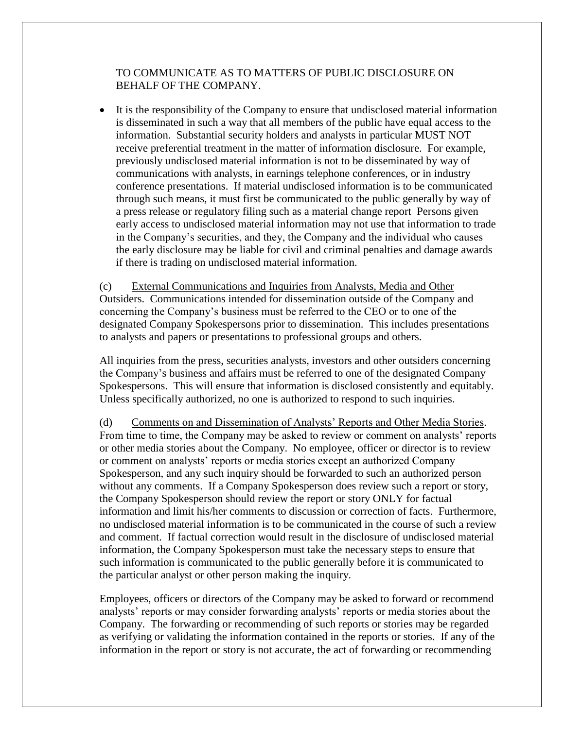#### TO COMMUNICATE AS TO MATTERS OF PUBLIC DISCLOSURE ON BEHALF OF THE COMPANY.

 It is the responsibility of the Company to ensure that undisclosed material information is disseminated in such a way that all members of the public have equal access to the information. Substantial security holders and analysts in particular MUST NOT receive preferential treatment in the matter of information disclosure. For example, previously undisclosed material information is not to be disseminated by way of communications with analysts, in earnings telephone conferences, or in industry conference presentations. If material undisclosed information is to be communicated through such means, it must first be communicated to the public generally by way of a press release or regulatory filing such as a material change report Persons given early access to undisclosed material information may not use that information to trade in the Company's securities, and they, the Company and the individual who causes the early disclosure may be liable for civil and criminal penalties and damage awards if there is trading on undisclosed material information.

(c) External Communications and Inquiries from Analysts, Media and Other Outsiders. Communications intended for dissemination outside of the Company and concerning the Company's business must be referred to the CEO or to one of the designated Company Spokespersons prior to dissemination. This includes presentations to analysts and papers or presentations to professional groups and others.

All inquiries from the press, securities analysts, investors and other outsiders concerning the Company's business and affairs must be referred to one of the designated Company Spokespersons. This will ensure that information is disclosed consistently and equitably. Unless specifically authorized, no one is authorized to respond to such inquiries.

(d) Comments on and Dissemination of Analysts' Reports and Other Media Stories. From time to time, the Company may be asked to review or comment on analysts' reports or other media stories about the Company. No employee, officer or director is to review or comment on analysts' reports or media stories except an authorized Company Spokesperson, and any such inquiry should be forwarded to such an authorized person without any comments. If a Company Spokesperson does review such a report or story, the Company Spokesperson should review the report or story ONLY for factual information and limit his/her comments to discussion or correction of facts. Furthermore, no undisclosed material information is to be communicated in the course of such a review and comment. If factual correction would result in the disclosure of undisclosed material information, the Company Spokesperson must take the necessary steps to ensure that such information is communicated to the public generally before it is communicated to the particular analyst or other person making the inquiry.

Employees, officers or directors of the Company may be asked to forward or recommend analysts' reports or may consider forwarding analysts' reports or media stories about the Company. The forwarding or recommending of such reports or stories may be regarded as verifying or validating the information contained in the reports or stories. If any of the information in the report or story is not accurate, the act of forwarding or recommending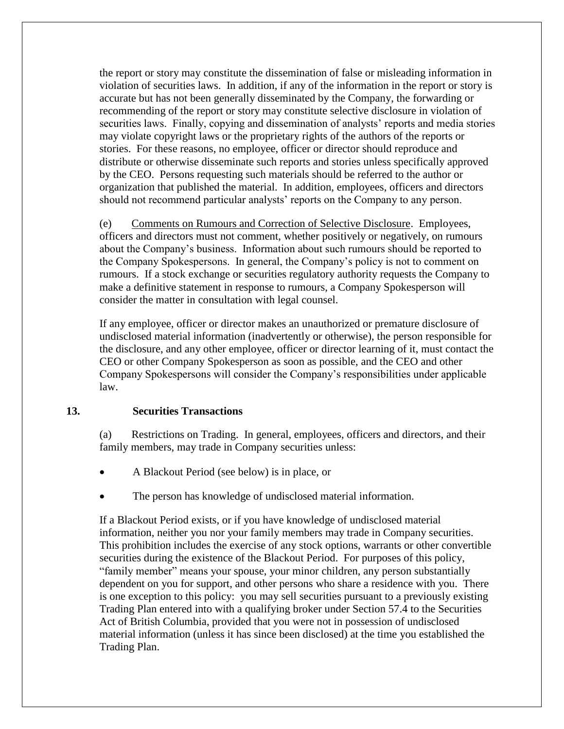the report or story may constitute the dissemination of false or misleading information in violation of securities laws. In addition, if any of the information in the report or story is accurate but has not been generally disseminated by the Company, the forwarding or recommending of the report or story may constitute selective disclosure in violation of securities laws. Finally, copying and dissemination of analysts' reports and media stories may violate copyright laws or the proprietary rights of the authors of the reports or stories. For these reasons, no employee, officer or director should reproduce and distribute or otherwise disseminate such reports and stories unless specifically approved by the CEO. Persons requesting such materials should be referred to the author or organization that published the material. In addition, employees, officers and directors should not recommend particular analysts' reports on the Company to any person.

(e) Comments on Rumours and Correction of Selective Disclosure. Employees, officers and directors must not comment, whether positively or negatively, on rumours about the Company's business. Information about such rumours should be reported to the Company Spokespersons. In general, the Company's policy is not to comment on rumours. If a stock exchange or securities regulatory authority requests the Company to make a definitive statement in response to rumours, a Company Spokesperson will consider the matter in consultation with legal counsel.

If any employee, officer or director makes an unauthorized or premature disclosure of undisclosed material information (inadvertently or otherwise), the person responsible for the disclosure, and any other employee, officer or director learning of it, must contact the CEO or other Company Spokesperson as soon as possible, and the CEO and other Company Spokespersons will consider the Company's responsibilities under applicable law.

#### <span id="page-36-0"></span>**13. Securities Transactions**

(a) Restrictions on Trading. In general, employees, officers and directors, and their family members, may trade in Company securities unless:

- A Blackout Period (see below) is in place, or
- The person has knowledge of undisclosed material information.

If a Blackout Period exists, or if you have knowledge of undisclosed material information, neither you nor your family members may trade in Company securities. This prohibition includes the exercise of any stock options, warrants or other convertible securities during the existence of the Blackout Period. For purposes of this policy, "family member" means your spouse, your minor children, any person substantially dependent on you for support, and other persons who share a residence with you. There is one exception to this policy: you may sell securities pursuant to a previously existing Trading Plan entered into with a qualifying broker under Section 57.4 to the Securities Act of British Columbia, provided that you were not in possession of undisclosed material information (unless it has since been disclosed) at the time you established the Trading Plan.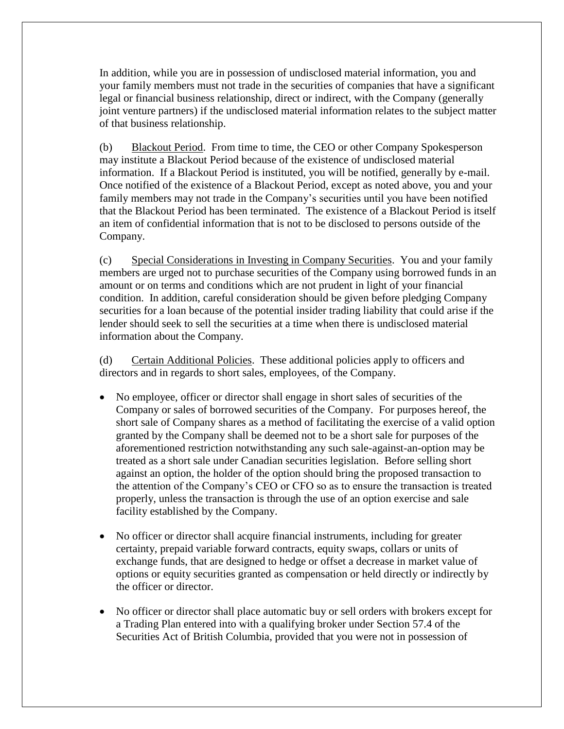In addition, while you are in possession of undisclosed material information, you and your family members must not trade in the securities of companies that have a significant legal or financial business relationship, direct or indirect, with the Company (generally joint venture partners) if the undisclosed material information relates to the subject matter of that business relationship.

(b) Blackout Period. From time to time, the CEO or other Company Spokesperson may institute a Blackout Period because of the existence of undisclosed material information. If a Blackout Period is instituted, you will be notified, generally by e-mail. Once notified of the existence of a Blackout Period, except as noted above, you and your family members may not trade in the Company's securities until you have been notified that the Blackout Period has been terminated. The existence of a Blackout Period is itself an item of confidential information that is not to be disclosed to persons outside of the Company.

(c) Special Considerations in Investing in Company Securities. You and your family members are urged not to purchase securities of the Company using borrowed funds in an amount or on terms and conditions which are not prudent in light of your financial condition. In addition, careful consideration should be given before pledging Company securities for a loan because of the potential insider trading liability that could arise if the lender should seek to sell the securities at a time when there is undisclosed material information about the Company.

(d) Certain Additional Policies. These additional policies apply to officers and directors and in regards to short sales, employees, of the Company.

- No employee, officer or director shall engage in short sales of securities of the Company or sales of borrowed securities of the Company. For purposes hereof, the short sale of Company shares as a method of facilitating the exercise of a valid option granted by the Company shall be deemed not to be a short sale for purposes of the aforementioned restriction notwithstanding any such sale-against-an-option may be treated as a short sale under Canadian securities legislation. Before selling short against an option, the holder of the option should bring the proposed transaction to the attention of the Company's CEO or CFO so as to ensure the transaction is treated properly, unless the transaction is through the use of an option exercise and sale facility established by the Company.
- No officer or director shall acquire financial instruments, including for greater certainty, prepaid variable forward contracts, equity swaps, collars or units of exchange funds, that are designed to hedge or offset a decrease in market value of options or equity securities granted as compensation or held directly or indirectly by the officer or director.
- No officer or director shall place automatic buy or sell orders with brokers except for a Trading Plan entered into with a qualifying broker under Section 57.4 of the Securities Act of British Columbia, provided that you were not in possession of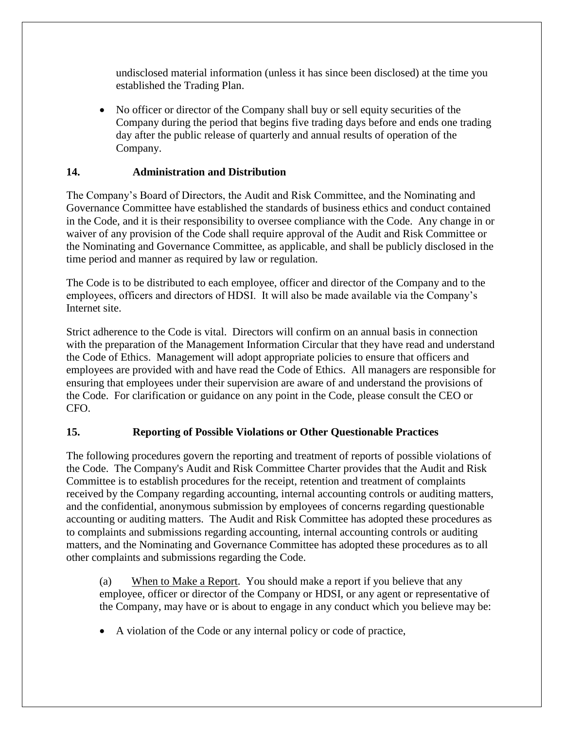undisclosed material information (unless it has since been disclosed) at the time you established the Trading Plan.

 No officer or director of the Company shall buy or sell equity securities of the Company during the period that begins five trading days before and ends one trading day after the public release of quarterly and annual results of operation of the Company.

#### <span id="page-38-0"></span>**14. Administration and Distribution**

The Company's Board of Directors, the Audit and Risk Committee, and the Nominating and Governance Committee have established the standards of business ethics and conduct contained in the Code, and it is their responsibility to oversee compliance with the Code. Any change in or waiver of any provision of the Code shall require approval of the Audit and Risk Committee or the Nominating and Governance Committee, as applicable, and shall be publicly disclosed in the time period and manner as required by law or regulation.

The Code is to be distributed to each employee, officer and director of the Company and to the employees, officers and directors of HDSI. It will also be made available via the Company's Internet site.

Strict adherence to the Code is vital. Directors will confirm on an annual basis in connection with the preparation of the Management Information Circular that they have read and understand the Code of Ethics. Management will adopt appropriate policies to ensure that officers and employees are provided with and have read the Code of Ethics. All managers are responsible for ensuring that employees under their supervision are aware of and understand the provisions of the Code. For clarification or guidance on any point in the Code, please consult the CEO or CFO.

#### <span id="page-38-1"></span>**15. Reporting of Possible Violations or Other Questionable Practices**

The following procedures govern the reporting and treatment of reports of possible violations of the Code. The Company's Audit and Risk Committee Charter provides that the Audit and Risk Committee is to establish procedures for the receipt, retention and treatment of complaints received by the Company regarding accounting, internal accounting controls or auditing matters, and the confidential, anonymous submission by employees of concerns regarding questionable accounting or auditing matters. The Audit and Risk Committee has adopted these procedures as to complaints and submissions regarding accounting, internal accounting controls or auditing matters, and the Nominating and Governance Committee has adopted these procedures as to all other complaints and submissions regarding the Code.

(a) When to Make a Report. You should make a report if you believe that any employee, officer or director of the Company or HDSI, or any agent or representative of the Company, may have or is about to engage in any conduct which you believe may be:

A violation of the Code or any internal policy or code of practice,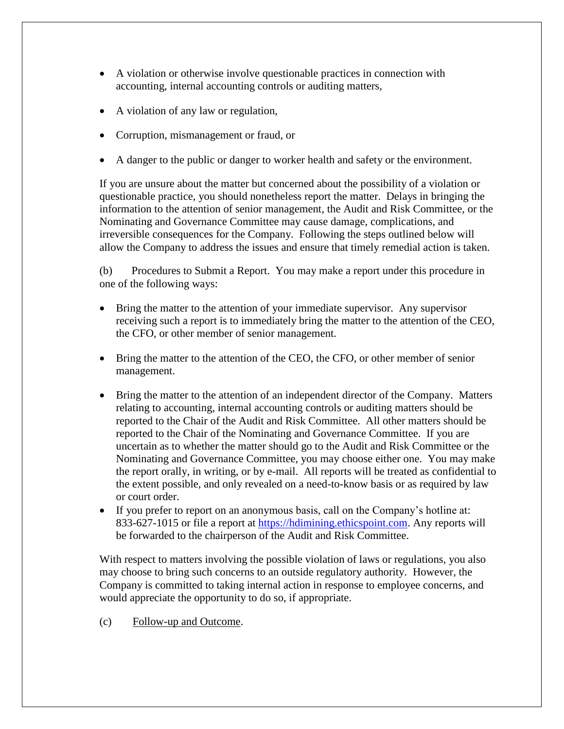- A violation or otherwise involve questionable practices in connection with accounting, internal accounting controls or auditing matters,
- A violation of any law or regulation,
- Corruption, mismanagement or fraud, or
- A danger to the public or danger to worker health and safety or the environment.

If you are unsure about the matter but concerned about the possibility of a violation or questionable practice, you should nonetheless report the matter. Delays in bringing the information to the attention of senior management, the Audit and Risk Committee, or the Nominating and Governance Committee may cause damage, complications, and irreversible consequences for the Company. Following the steps outlined below will allow the Company to address the issues and ensure that timely remedial action is taken.

(b) Procedures to Submit a Report. You may make a report under this procedure in one of the following ways:

- Bring the matter to the attention of your immediate supervisor. Any supervisor receiving such a report is to immediately bring the matter to the attention of the CEO, the CFO, or other member of senior management.
- Bring the matter to the attention of the CEO, the CFO, or other member of senior management.
- Bring the matter to the attention of an independent director of the Company. Matters relating to accounting, internal accounting controls or auditing matters should be reported to the Chair of the Audit and Risk Committee. All other matters should be reported to the Chair of the Nominating and Governance Committee. If you are uncertain as to whether the matter should go to the Audit and Risk Committee or the Nominating and Governance Committee, you may choose either one. You may make the report orally, in writing, or by e-mail. All reports will be treated as confidential to the extent possible, and only revealed on a need-to-know basis or as required by law or court order.
- If you prefer to report on an anonymous basis, call on the Company's hotline at: 833-627-1015 or file a report at [https://hdimining.ethicspoint.com.](https://hdimining.ethicspoint.com/) Any reports will be forwarded to the chairperson of the Audit and Risk Committee.

With respect to matters involving the possible violation of laws or regulations, you also may choose to bring such concerns to an outside regulatory authority. However, the Company is committed to taking internal action in response to employee concerns, and would appreciate the opportunity to do so, if appropriate.

(c) Follow-up and Outcome.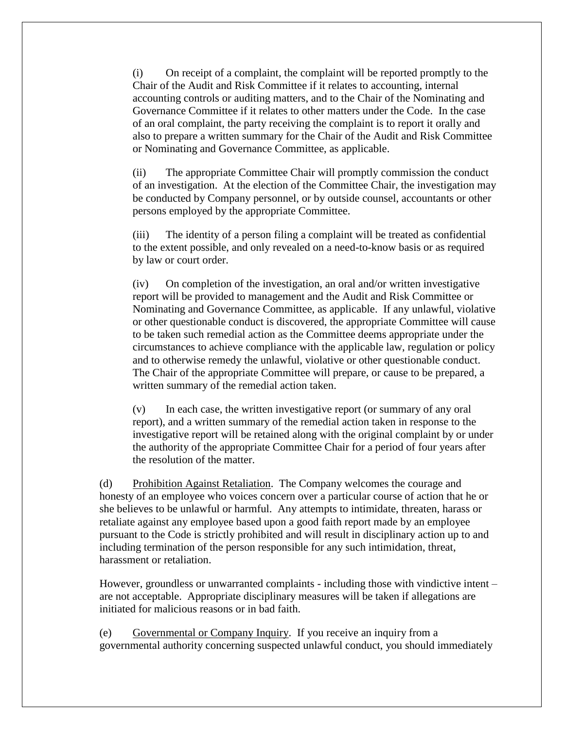(i) On receipt of a complaint, the complaint will be reported promptly to the Chair of the Audit and Risk Committee if it relates to accounting, internal accounting controls or auditing matters, and to the Chair of the Nominating and Governance Committee if it relates to other matters under the Code. In the case of an oral complaint, the party receiving the complaint is to report it orally and also to prepare a written summary for the Chair of the Audit and Risk Committee or Nominating and Governance Committee, as applicable.

(ii) The appropriate Committee Chair will promptly commission the conduct of an investigation. At the election of the Committee Chair, the investigation may be conducted by Company personnel, or by outside counsel, accountants or other persons employed by the appropriate Committee.

(iii) The identity of a person filing a complaint will be treated as confidential to the extent possible, and only revealed on a need-to-know basis or as required by law or court order.

(iv) On completion of the investigation, an oral and/or written investigative report will be provided to management and the Audit and Risk Committee or Nominating and Governance Committee, as applicable. If any unlawful, violative or other questionable conduct is discovered, the appropriate Committee will cause to be taken such remedial action as the Committee deems appropriate under the circumstances to achieve compliance with the applicable law, regulation or policy and to otherwise remedy the unlawful, violative or other questionable conduct. The Chair of the appropriate Committee will prepare, or cause to be prepared, a written summary of the remedial action taken.

(v) In each case, the written investigative report (or summary of any oral report), and a written summary of the remedial action taken in response to the investigative report will be retained along with the original complaint by or under the authority of the appropriate Committee Chair for a period of four years after the resolution of the matter.

(d) Prohibition Against Retaliation. The Company welcomes the courage and honesty of an employee who voices concern over a particular course of action that he or she believes to be unlawful or harmful. Any attempts to intimidate, threaten, harass or retaliate against any employee based upon a good faith report made by an employee pursuant to the Code is strictly prohibited and will result in disciplinary action up to and including termination of the person responsible for any such intimidation, threat, harassment or retaliation.

However, groundless or unwarranted complaints - including those with vindictive intent – are not acceptable. Appropriate disciplinary measures will be taken if allegations are initiated for malicious reasons or in bad faith.

(e) Governmental or Company Inquiry. If you receive an inquiry from a governmental authority concerning suspected unlawful conduct, you should immediately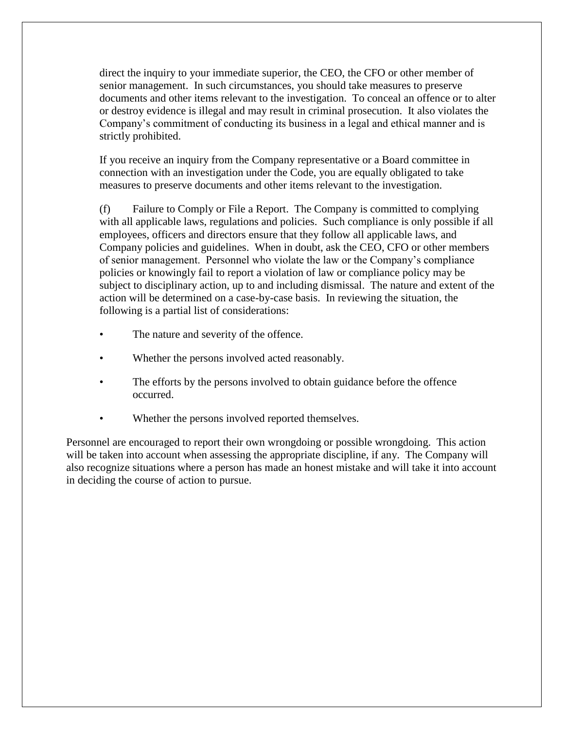direct the inquiry to your immediate superior, the CEO, the CFO or other member of senior management. In such circumstances, you should take measures to preserve documents and other items relevant to the investigation. To conceal an offence or to alter or destroy evidence is illegal and may result in criminal prosecution. It also violates the Company's commitment of conducting its business in a legal and ethical manner and is strictly prohibited.

If you receive an inquiry from the Company representative or a Board committee in connection with an investigation under the Code, you are equally obligated to take measures to preserve documents and other items relevant to the investigation.

(f) Failure to Comply or File a Report. The Company is committed to complying with all applicable laws, regulations and policies. Such compliance is only possible if all employees, officers and directors ensure that they follow all applicable laws, and Company policies and guidelines. When in doubt, ask the CEO, CFO or other members of senior management. Personnel who violate the law or the Company's compliance policies or knowingly fail to report a violation of law or compliance policy may be subject to disciplinary action, up to and including dismissal. The nature and extent of the action will be determined on a case-by-case basis. In reviewing the situation, the following is a partial list of considerations:

- The nature and severity of the offence.
- Whether the persons involved acted reasonably.
- The efforts by the persons involved to obtain guidance before the offence occurred.
- Whether the persons involved reported themselves.

Personnel are encouraged to report their own wrongdoing or possible wrongdoing. This action will be taken into account when assessing the appropriate discipline, if any. The Company will also recognize situations where a person has made an honest mistake and will take it into account in deciding the course of action to pursue.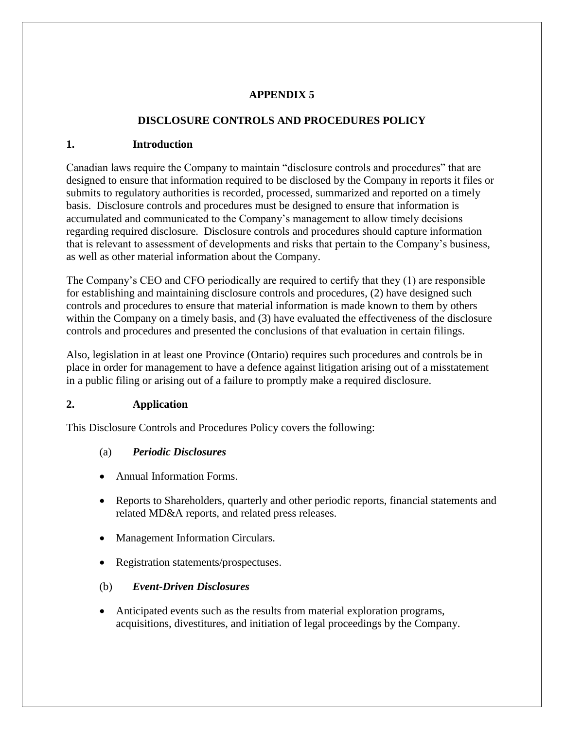#### **APPENDIX 5**

# **DISCLOSURE CONTROLS AND PROCEDURES POLICY**

#### <span id="page-42-1"></span><span id="page-42-0"></span>**1. Introduction**

Canadian laws require the Company to maintain "disclosure controls and procedures" that are designed to ensure that information required to be disclosed by the Company in reports it files or submits to regulatory authorities is recorded, processed, summarized and reported on a timely basis. Disclosure controls and procedures must be designed to ensure that information is accumulated and communicated to the Company's management to allow timely decisions regarding required disclosure. Disclosure controls and procedures should capture information that is relevant to assessment of developments and risks that pertain to the Company's business, as well as other material information about the Company.

The Company's CEO and CFO periodically are required to certify that they (1) are responsible for establishing and maintaining disclosure controls and procedures, (2) have designed such controls and procedures to ensure that material information is made known to them by others within the Company on a timely basis, and (3) have evaluated the effectiveness of the disclosure controls and procedures and presented the conclusions of that evaluation in certain filings.

Also, legislation in at least one Province (Ontario) requires such procedures and controls be in place in order for management to have a defence against litigation arising out of a misstatement in a public filing or arising out of a failure to promptly make a required disclosure.

#### <span id="page-42-2"></span>**2. Application**

This Disclosure Controls and Procedures Policy covers the following:

#### (a) *Periodic Disclosures*

- Annual Information Forms.
- Reports to Shareholders, quarterly and other periodic reports, financial statements and related MD&A reports, and related press releases.
- Management Information Circulars.
- Registration statements/prospectuses.

#### (b) *Event-Driven Disclosures*

 Anticipated events such as the results from material exploration programs, acquisitions, divestitures, and initiation of legal proceedings by the Company.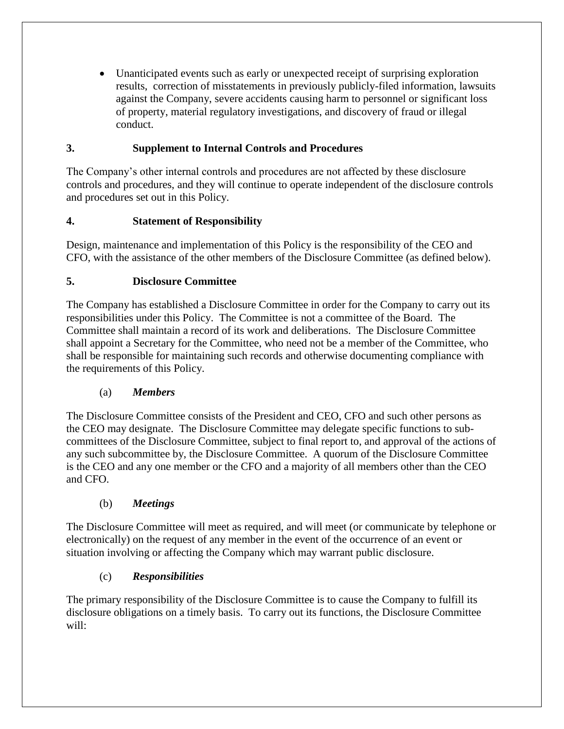Unanticipated events such as early or unexpected receipt of surprising exploration results, correction of misstatements in previously publicly-filed information, lawsuits against the Company, severe accidents causing harm to personnel or significant loss of property, material regulatory investigations, and discovery of fraud or illegal conduct.

## <span id="page-43-0"></span>**3. Supplement to Internal Controls and Procedures**

The Company's other internal controls and procedures are not affected by these disclosure controls and procedures, and they will continue to operate independent of the disclosure controls and procedures set out in this Policy.

# <span id="page-43-1"></span>**4. Statement of Responsibility**

Design, maintenance and implementation of this Policy is the responsibility of the CEO and CFO, with the assistance of the other members of the Disclosure Committee (as defined below).

# <span id="page-43-2"></span>**5. Disclosure Committee**

The Company has established a Disclosure Committee in order for the Company to carry out its responsibilities under this Policy. The Committee is not a committee of the Board. The Committee shall maintain a record of its work and deliberations. The Disclosure Committee shall appoint a Secretary for the Committee, who need not be a member of the Committee, who shall be responsible for maintaining such records and otherwise documenting compliance with the requirements of this Policy.

# (a) *Members*

The Disclosure Committee consists of the President and CEO, CFO and such other persons as the CEO may designate. The Disclosure Committee may delegate specific functions to subcommittees of the Disclosure Committee, subject to final report to, and approval of the actions of any such subcommittee by, the Disclosure Committee. A quorum of the Disclosure Committee is the CEO and any one member or the CFO and a majority of all members other than the CEO and CFO.

# (b) *Meetings*

The Disclosure Committee will meet as required, and will meet (or communicate by telephone or electronically) on the request of any member in the event of the occurrence of an event or situation involving or affecting the Company which may warrant public disclosure.

# (c) *Responsibilities*

The primary responsibility of the Disclosure Committee is to cause the Company to fulfill its disclosure obligations on a timely basis. To carry out its functions, the Disclosure Committee will: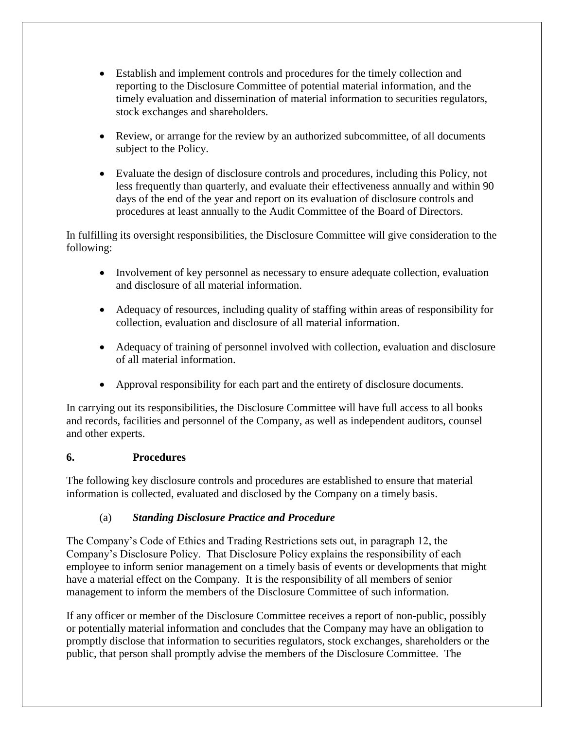- Establish and implement controls and procedures for the timely collection and reporting to the Disclosure Committee of potential material information, and the timely evaluation and dissemination of material information to securities regulators, stock exchanges and shareholders.
- Review, or arrange for the review by an authorized subcommittee, of all documents subject to the Policy.
- Evaluate the design of disclosure controls and procedures, including this Policy, not less frequently than quarterly, and evaluate their effectiveness annually and within 90 days of the end of the year and report on its evaluation of disclosure controls and procedures at least annually to the Audit Committee of the Board of Directors.

In fulfilling its oversight responsibilities, the Disclosure Committee will give consideration to the following:

- Involvement of key personnel as necessary to ensure adequate collection, evaluation and disclosure of all material information.
- Adequacy of resources, including quality of staffing within areas of responsibility for collection, evaluation and disclosure of all material information.
- Adequacy of training of personnel involved with collection, evaluation and disclosure of all material information.
- Approval responsibility for each part and the entirety of disclosure documents.

In carrying out its responsibilities, the Disclosure Committee will have full access to all books and records, facilities and personnel of the Company, as well as independent auditors, counsel and other experts.

#### <span id="page-44-0"></span>**6. Procedures**

The following key disclosure controls and procedures are established to ensure that material information is collected, evaluated and disclosed by the Company on a timely basis.

# (a) *Standing Disclosure Practice and Procedure*

The Company's Code of Ethics and Trading Restrictions sets out, in paragraph 12, the Company's Disclosure Policy. That Disclosure Policy explains the responsibility of each employee to inform senior management on a timely basis of events or developments that might have a material effect on the Company. It is the responsibility of all members of senior management to inform the members of the Disclosure Committee of such information.

If any officer or member of the Disclosure Committee receives a report of non-public, possibly or potentially material information and concludes that the Company may have an obligation to promptly disclose that information to securities regulators, stock exchanges, shareholders or the public, that person shall promptly advise the members of the Disclosure Committee. The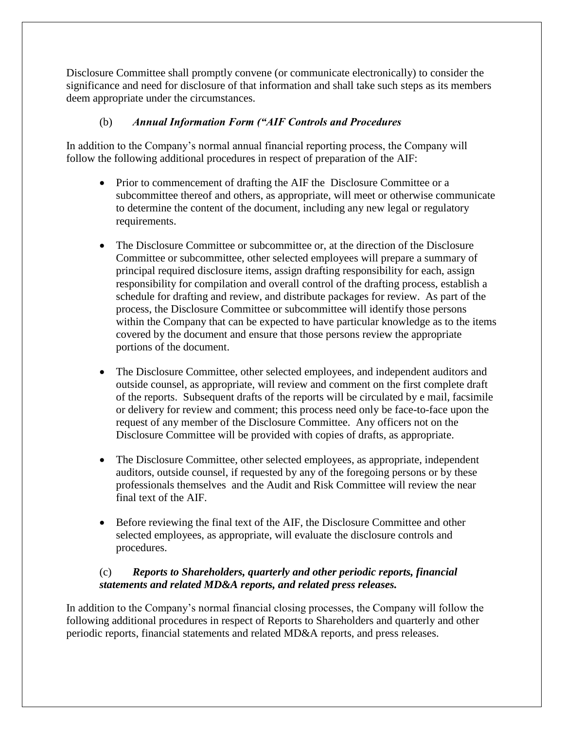Disclosure Committee shall promptly convene (or communicate electronically) to consider the significance and need for disclosure of that information and shall take such steps as its members deem appropriate under the circumstances.

#### (b) *Annual Information Form ("AIF Controls and Procedures*

In addition to the Company's normal annual financial reporting process, the Company will follow the following additional procedures in respect of preparation of the AIF:

- Prior to commencement of drafting the AIF the Disclosure Committee or a subcommittee thereof and others, as appropriate, will meet or otherwise communicate to determine the content of the document, including any new legal or regulatory requirements.
- The Disclosure Committee or subcommittee or, at the direction of the Disclosure Committee or subcommittee, other selected employees will prepare a summary of principal required disclosure items, assign drafting responsibility for each, assign responsibility for compilation and overall control of the drafting process, establish a schedule for drafting and review, and distribute packages for review. As part of the process, the Disclosure Committee or subcommittee will identify those persons within the Company that can be expected to have particular knowledge as to the items covered by the document and ensure that those persons review the appropriate portions of the document.
- The Disclosure Committee, other selected employees, and independent auditors and outside counsel, as appropriate, will review and comment on the first complete draft of the reports. Subsequent drafts of the reports will be circulated by e mail, facsimile or delivery for review and comment; this process need only be face-to-face upon the request of any member of the Disclosure Committee. Any officers not on the Disclosure Committee will be provided with copies of drafts, as appropriate.
- The Disclosure Committee, other selected employees, as appropriate, independent auditors, outside counsel, if requested by any of the foregoing persons or by these professionals themselves and the Audit and Risk Committee will review the near final text of the AIF.
- Before reviewing the final text of the AIF, the Disclosure Committee and other selected employees, as appropriate, will evaluate the disclosure controls and procedures.

#### (c) *Reports to Shareholders, quarterly and other periodic reports, financial statements and related MD&A reports, and related press releases.*

In addition to the Company's normal financial closing processes, the Company will follow the following additional procedures in respect of Reports to Shareholders and quarterly and other periodic reports, financial statements and related MD&A reports, and press releases.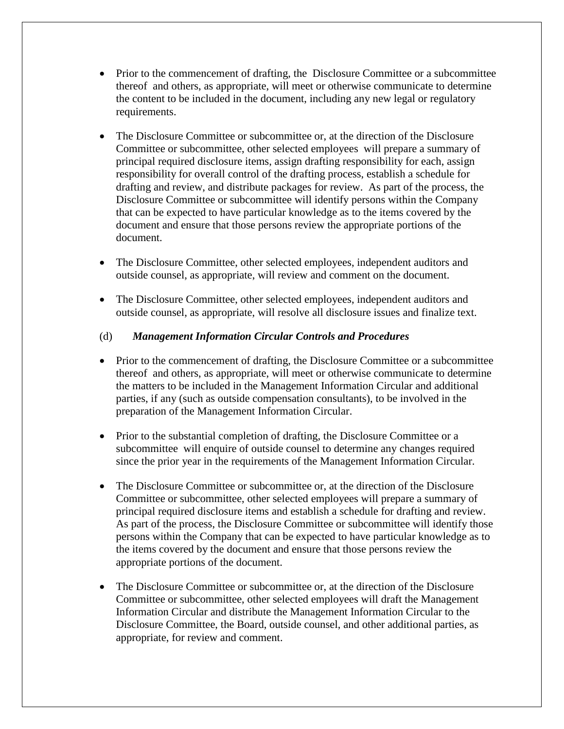- Prior to the commencement of drafting, the Disclosure Committee or a subcommittee thereof and others, as appropriate, will meet or otherwise communicate to determine the content to be included in the document, including any new legal or regulatory requirements.
- The Disclosure Committee or subcommittee or, at the direction of the Disclosure Committee or subcommittee, other selected employees will prepare a summary of principal required disclosure items, assign drafting responsibility for each, assign responsibility for overall control of the drafting process, establish a schedule for drafting and review, and distribute packages for review. As part of the process, the Disclosure Committee or subcommittee will identify persons within the Company that can be expected to have particular knowledge as to the items covered by the document and ensure that those persons review the appropriate portions of the document.
- The Disclosure Committee, other selected employees, independent auditors and outside counsel, as appropriate, will review and comment on the document.
- The Disclosure Committee, other selected employees, independent auditors and outside counsel, as appropriate, will resolve all disclosure issues and finalize text.

#### (d) *Management Information Circular Controls and Procedures*

- Prior to the commencement of drafting, the Disclosure Committee or a subcommittee thereof and others, as appropriate, will meet or otherwise communicate to determine the matters to be included in the Management Information Circular and additional parties, if any (such as outside compensation consultants), to be involved in the preparation of the Management Information Circular.
- Prior to the substantial completion of drafting, the Disclosure Committee or a subcommittee will enquire of outside counsel to determine any changes required since the prior year in the requirements of the Management Information Circular.
- The Disclosure Committee or subcommittee or, at the direction of the Disclosure Committee or subcommittee, other selected employees will prepare a summary of principal required disclosure items and establish a schedule for drafting and review. As part of the process, the Disclosure Committee or subcommittee will identify those persons within the Company that can be expected to have particular knowledge as to the items covered by the document and ensure that those persons review the appropriate portions of the document.
- The Disclosure Committee or subcommittee or, at the direction of the Disclosure Committee or subcommittee, other selected employees will draft the Management Information Circular and distribute the Management Information Circular to the Disclosure Committee, the Board, outside counsel, and other additional parties, as appropriate, for review and comment.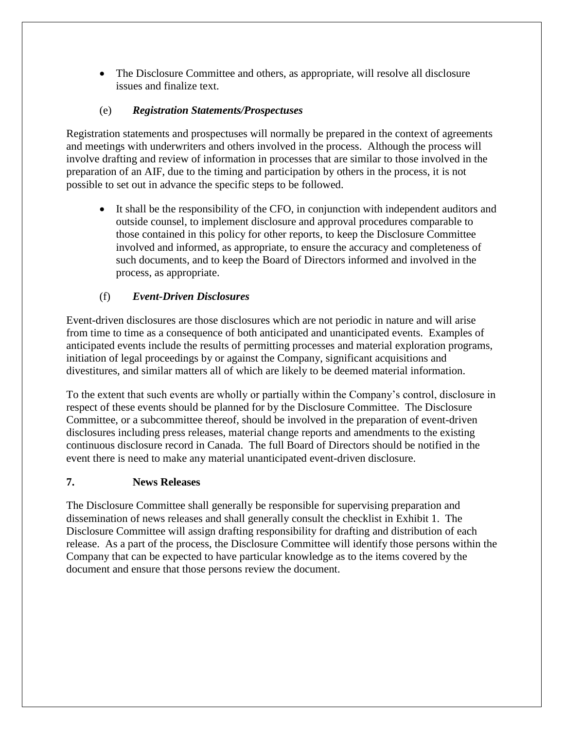• The Disclosure Committee and others, as appropriate, will resolve all disclosure issues and finalize text.

# (e) *Registration Statements/Prospectuses*

Registration statements and prospectuses will normally be prepared in the context of agreements and meetings with underwriters and others involved in the process. Although the process will involve drafting and review of information in processes that are similar to those involved in the preparation of an AIF, due to the timing and participation by others in the process, it is not possible to set out in advance the specific steps to be followed.

 It shall be the responsibility of the CFO, in conjunction with independent auditors and outside counsel, to implement disclosure and approval procedures comparable to those contained in this policy for other reports, to keep the Disclosure Committee involved and informed, as appropriate, to ensure the accuracy and completeness of such documents, and to keep the Board of Directors informed and involved in the process, as appropriate.

# (f) *Event-Driven Disclosures*

Event-driven disclosures are those disclosures which are not periodic in nature and will arise from time to time as a consequence of both anticipated and unanticipated events. Examples of anticipated events include the results of permitting processes and material exploration programs, initiation of legal proceedings by or against the Company, significant acquisitions and divestitures, and similar matters all of which are likely to be deemed material information.

To the extent that such events are wholly or partially within the Company's control, disclosure in respect of these events should be planned for by the Disclosure Committee. The Disclosure Committee, or a subcommittee thereof, should be involved in the preparation of event-driven disclosures including press releases, material change reports and amendments to the existing continuous disclosure record in Canada. The full Board of Directors should be notified in the event there is need to make any material unanticipated event-driven disclosure.

#### <span id="page-47-0"></span>**7. News Releases**

The Disclosure Committee shall generally be responsible for supervising preparation and dissemination of news releases and shall generally consult the checklist in Exhibit 1. The Disclosure Committee will assign drafting responsibility for drafting and distribution of each release. As a part of the process, the Disclosure Committee will identify those persons within the Company that can be expected to have particular knowledge as to the items covered by the document and ensure that those persons review the document.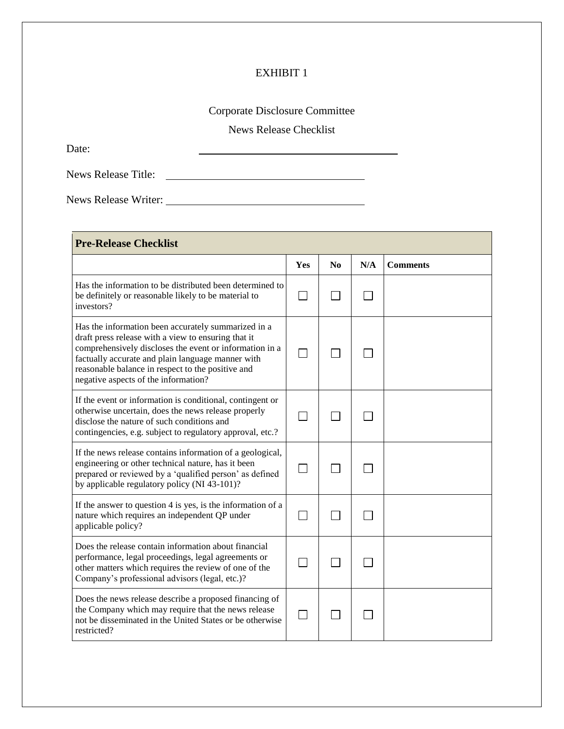# EXHIBIT 1

# Corporate Disclosure Committee

News Release Checklist

<span id="page-48-0"></span>Date:

News Release Title:

News Release Writer:

| <b>Pre-Release Checklist</b>                                                                                                                                                                                                                                                                                            |     |                        |     |                 |  |  |  |
|-------------------------------------------------------------------------------------------------------------------------------------------------------------------------------------------------------------------------------------------------------------------------------------------------------------------------|-----|------------------------|-----|-----------------|--|--|--|
|                                                                                                                                                                                                                                                                                                                         | Yes | $\mathbf{N}\mathbf{0}$ | N/A | <b>Comments</b> |  |  |  |
| Has the information to be distributed been determined to<br>be definitely or reasonable likely to be material to<br>investors?                                                                                                                                                                                          |     |                        |     |                 |  |  |  |
| Has the information been accurately summarized in a<br>draft press release with a view to ensuring that it<br>comprehensively discloses the event or information in a<br>factually accurate and plain language manner with<br>reasonable balance in respect to the positive and<br>negative aspects of the information? |     |                        |     |                 |  |  |  |
| If the event or information is conditional, contingent or<br>otherwise uncertain, does the news release properly<br>disclose the nature of such conditions and<br>contingencies, e.g. subject to regulatory approval, etc.?                                                                                             |     |                        |     |                 |  |  |  |
| If the news release contains information of a geological,<br>engineering or other technical nature, has it been<br>prepared or reviewed by a 'qualified person' as defined<br>by applicable regulatory policy (NI 43-101)?                                                                                              |     |                        |     |                 |  |  |  |
| If the answer to question 4 is yes, is the information of a<br>nature which requires an independent QP under<br>applicable policy?                                                                                                                                                                                      |     |                        |     |                 |  |  |  |
| Does the release contain information about financial<br>performance, legal proceedings, legal agreements or<br>other matters which requires the review of one of the<br>Company's professional advisors (legal, etc.)?                                                                                                  |     |                        |     |                 |  |  |  |
| Does the news release describe a proposed financing of<br>the Company which may require that the news release<br>not be disseminated in the United States or be otherwise<br>restricted?                                                                                                                                |     |                        |     |                 |  |  |  |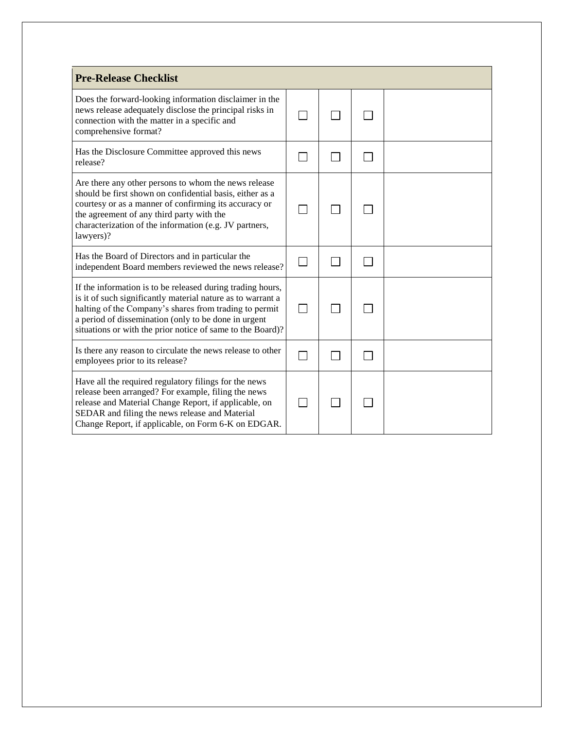| <b>Pre-Release Checklist</b>                                                                                                                                                                                                                                                                              |  |  |  |  |  |  |  |
|-----------------------------------------------------------------------------------------------------------------------------------------------------------------------------------------------------------------------------------------------------------------------------------------------------------|--|--|--|--|--|--|--|
| Does the forward-looking information disclaimer in the<br>news release adequately disclose the principal risks in<br>connection with the matter in a specific and<br>comprehensive format?                                                                                                                |  |  |  |  |  |  |  |
| Has the Disclosure Committee approved this news<br>release?                                                                                                                                                                                                                                               |  |  |  |  |  |  |  |
| Are there any other persons to whom the news release<br>should be first shown on confidential basis, either as a<br>courtesy or as a manner of confirming its accuracy or<br>the agreement of any third party with the<br>characterization of the information (e.g. JV partners,<br>lawyers)?             |  |  |  |  |  |  |  |
| Has the Board of Directors and in particular the<br>independent Board members reviewed the news release?                                                                                                                                                                                                  |  |  |  |  |  |  |  |
| If the information is to be released during trading hours,<br>is it of such significantly material nature as to warrant a<br>halting of the Company's shares from trading to permit<br>a period of dissemination (only to be done in urgent<br>situations or with the prior notice of same to the Board)? |  |  |  |  |  |  |  |
| Is there any reason to circulate the news release to other<br>employees prior to its release?                                                                                                                                                                                                             |  |  |  |  |  |  |  |
| Have all the required regulatory filings for the news<br>release been arranged? For example, filing the news<br>release and Material Change Report, if applicable, on<br>SEDAR and filing the news release and Material<br>Change Report, if applicable, on Form 6-K on EDGAR.                            |  |  |  |  |  |  |  |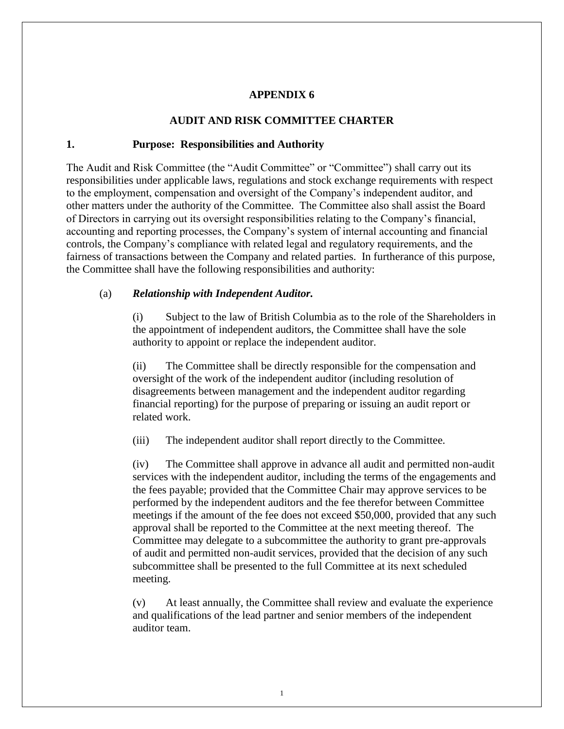#### **APPENDIX 6**

#### **AUDIT AND RISK COMMITTEE CHARTER**

#### <span id="page-50-1"></span><span id="page-50-0"></span>**1. Purpose: Responsibilities and Authority**

The Audit and Risk Committee (the "Audit Committee" or "Committee") shall carry out its responsibilities under applicable laws, regulations and stock exchange requirements with respect to the employment, compensation and oversight of the Company's independent auditor, and other matters under the authority of the Committee. The Committee also shall assist the Board of Directors in carrying out its oversight responsibilities relating to the Company's financial, accounting and reporting processes, the Company's system of internal accounting and financial controls, the Company's compliance with related legal and regulatory requirements, and the fairness of transactions between the Company and related parties. In furtherance of this purpose, the Committee shall have the following responsibilities and authority:

#### (a) *Relationship with Independent Auditor.*

(i) Subject to the law of British Columbia as to the role of the Shareholders in the appointment of independent auditors, the Committee shall have the sole authority to appoint or replace the independent auditor.

(ii) The Committee shall be directly responsible for the compensation and oversight of the work of the independent auditor (including resolution of disagreements between management and the independent auditor regarding financial reporting) for the purpose of preparing or issuing an audit report or related work.

(iii) The independent auditor shall report directly to the Committee.

(iv) The Committee shall approve in advance all audit and permitted non-audit services with the independent auditor, including the terms of the engagements and the fees payable; provided that the Committee Chair may approve services to be performed by the independent auditors and the fee therefor between Committee meetings if the amount of the fee does not exceed \$50,000, provided that any such approval shall be reported to the Committee at the next meeting thereof. The Committee may delegate to a subcommittee the authority to grant pre-approvals of audit and permitted non-audit services, provided that the decision of any such subcommittee shall be presented to the full Committee at its next scheduled meeting.

(v) At least annually, the Committee shall review and evaluate the experience and qualifications of the lead partner and senior members of the independent auditor team.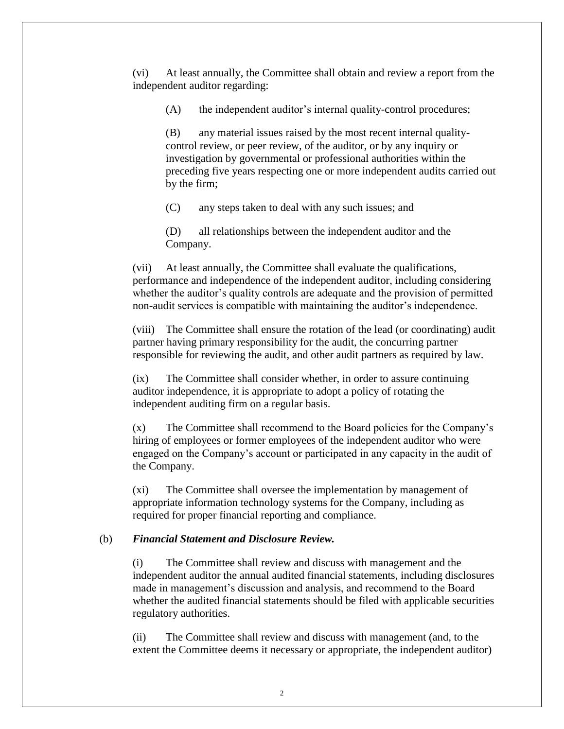(vi) At least annually, the Committee shall obtain and review a report from the independent auditor regarding:

(A) the independent auditor's internal quality-control procedures;

(B) any material issues raised by the most recent internal qualitycontrol review, or peer review, of the auditor, or by any inquiry or investigation by governmental or professional authorities within the preceding five years respecting one or more independent audits carried out by the firm;

(C) any steps taken to deal with any such issues; and

(D) all relationships between the independent auditor and the Company.

(vii) At least annually, the Committee shall evaluate the qualifications, performance and independence of the independent auditor, including considering whether the auditor's quality controls are adequate and the provision of permitted non-audit services is compatible with maintaining the auditor's independence.

(viii) The Committee shall ensure the rotation of the lead (or coordinating) audit partner having primary responsibility for the audit, the concurring partner responsible for reviewing the audit, and other audit partners as required by law.

(ix) The Committee shall consider whether, in order to assure continuing auditor independence, it is appropriate to adopt a policy of rotating the independent auditing firm on a regular basis.

(x) The Committee shall recommend to the Board policies for the Company's hiring of employees or former employees of the independent auditor who were engaged on the Company's account or participated in any capacity in the audit of the Company.

(xi) The Committee shall oversee the implementation by management of appropriate information technology systems for the Company, including as required for proper financial reporting and compliance.

#### (b) *Financial Statement and Disclosure Review.*

(i) The Committee shall review and discuss with management and the independent auditor the annual audited financial statements, including disclosures made in management's discussion and analysis, and recommend to the Board whether the audited financial statements should be filed with applicable securities regulatory authorities.

(ii) The Committee shall review and discuss with management (and, to the extent the Committee deems it necessary or appropriate, the independent auditor)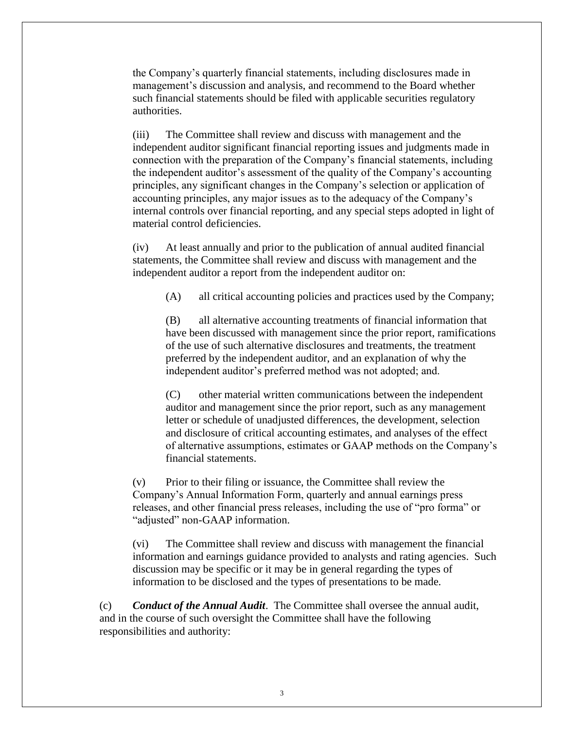the Company's quarterly financial statements, including disclosures made in management's discussion and analysis, and recommend to the Board whether such financial statements should be filed with applicable securities regulatory authorities.

(iii) The Committee shall review and discuss with management and the independent auditor significant financial reporting issues and judgments made in connection with the preparation of the Company's financial statements, including the independent auditor's assessment of the quality of the Company's accounting principles, any significant changes in the Company's selection or application of accounting principles, any major issues as to the adequacy of the Company's internal controls over financial reporting, and any special steps adopted in light of material control deficiencies.

(iv) At least annually and prior to the publication of annual audited financial statements, the Committee shall review and discuss with management and the independent auditor a report from the independent auditor on:

(A) all critical accounting policies and practices used by the Company;

(B) all alternative accounting treatments of financial information that have been discussed with management since the prior report, ramifications of the use of such alternative disclosures and treatments, the treatment preferred by the independent auditor, and an explanation of why the independent auditor's preferred method was not adopted; and.

(C) other material written communications between the independent auditor and management since the prior report, such as any management letter or schedule of unadjusted differences, the development, selection and disclosure of critical accounting estimates, and analyses of the effect of alternative assumptions, estimates or GAAP methods on the Company's financial statements.

(v) Prior to their filing or issuance, the Committee shall review the Company's Annual Information Form, quarterly and annual earnings press releases, and other financial press releases, including the use of "pro forma" or "adjusted" non-GAAP information.

(vi) The Committee shall review and discuss with management the financial information and earnings guidance provided to analysts and rating agencies. Such discussion may be specific or it may be in general regarding the types of information to be disclosed and the types of presentations to be made.

(c) *Conduct of the Annual Audit*. The Committee shall oversee the annual audit, and in the course of such oversight the Committee shall have the following responsibilities and authority: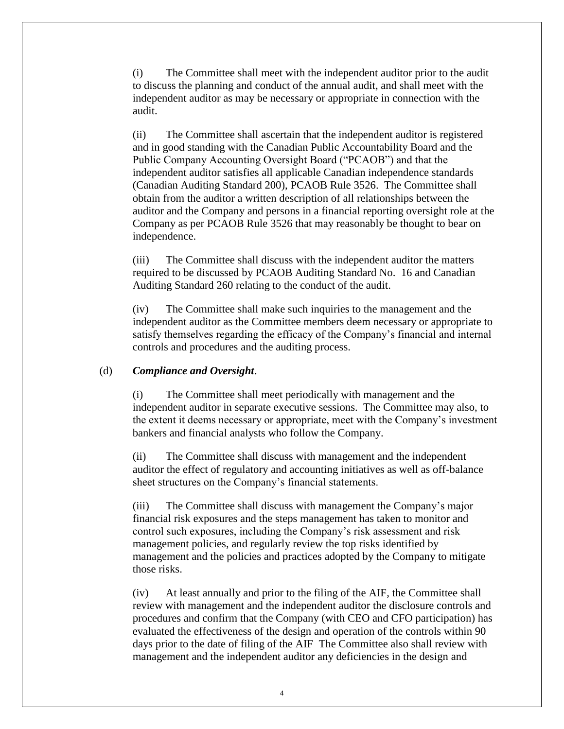(i) The Committee shall meet with the independent auditor prior to the audit to discuss the planning and conduct of the annual audit, and shall meet with the independent auditor as may be necessary or appropriate in connection with the audit.

(ii) The Committee shall ascertain that the independent auditor is registered and in good standing with the Canadian Public Accountability Board and the Public Company Accounting Oversight Board ("PCAOB") and that the independent auditor satisfies all applicable Canadian independence standards (Canadian Auditing Standard 200), PCAOB Rule 3526. The Committee shall obtain from the auditor a written description of all relationships between the auditor and the Company and persons in a financial reporting oversight role at the Company as per PCAOB Rule 3526 that may reasonably be thought to bear on independence.

(iii) The Committee shall discuss with the independent auditor the matters required to be discussed by PCAOB Auditing Standard No. 16 and Canadian Auditing Standard 260 relating to the conduct of the audit.

(iv) The Committee shall make such inquiries to the management and the independent auditor as the Committee members deem necessary or appropriate to satisfy themselves regarding the efficacy of the Company's financial and internal controls and procedures and the auditing process.

#### (d) *Compliance and Oversight*.

(i) The Committee shall meet periodically with management and the independent auditor in separate executive sessions. The Committee may also, to the extent it deems necessary or appropriate, meet with the Company's investment bankers and financial analysts who follow the Company.

(ii) The Committee shall discuss with management and the independent auditor the effect of regulatory and accounting initiatives as well as off-balance sheet structures on the Company's financial statements.

(iii) The Committee shall discuss with management the Company's major financial risk exposures and the steps management has taken to monitor and control such exposures, including the Company's risk assessment and risk management policies, and regularly review the top risks identified by management and the policies and practices adopted by the Company to mitigate those risks.

(iv) At least annually and prior to the filing of the AIF, the Committee shall review with management and the independent auditor the disclosure controls and procedures and confirm that the Company (with CEO and CFO participation) has evaluated the effectiveness of the design and operation of the controls within 90 days prior to the date of filing of the AIF The Committee also shall review with management and the independent auditor any deficiencies in the design and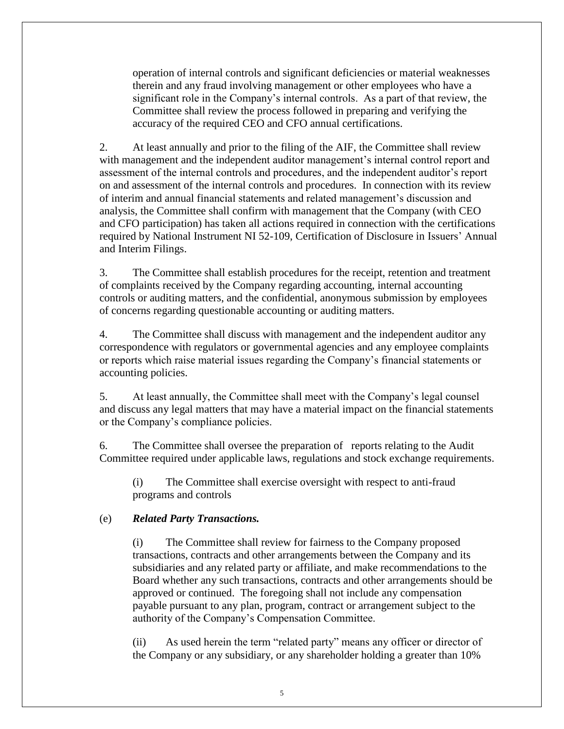operation of internal controls and significant deficiencies or material weaknesses therein and any fraud involving management or other employees who have a significant role in the Company's internal controls. As a part of that review, the Committee shall review the process followed in preparing and verifying the accuracy of the required CEO and CFO annual certifications.

2. At least annually and prior to the filing of the AIF, the Committee shall review with management and the independent auditor management's internal control report and assessment of the internal controls and procedures, and the independent auditor's report on and assessment of the internal controls and procedures. In connection with its review of interim and annual financial statements and related management's discussion and analysis, the Committee shall confirm with management that the Company (with CEO and CFO participation) has taken all actions required in connection with the certifications required by National Instrument NI 52-109, Certification of Disclosure in Issuers' Annual and Interim Filings.

3. The Committee shall establish procedures for the receipt, retention and treatment of complaints received by the Company regarding accounting, internal accounting controls or auditing matters, and the confidential, anonymous submission by employees of concerns regarding questionable accounting or auditing matters.

4. The Committee shall discuss with management and the independent auditor any correspondence with regulators or governmental agencies and any employee complaints or reports which raise material issues regarding the Company's financial statements or accounting policies.

5. At least annually, the Committee shall meet with the Company's legal counsel and discuss any legal matters that may have a material impact on the financial statements or the Company's compliance policies.

6. The Committee shall oversee the preparation of reports relating to the Audit Committee required under applicable laws, regulations and stock exchange requirements.

(i) The Committee shall exercise oversight with respect to anti-fraud programs and controls

#### (e) *Related Party Transactions.*

(i) The Committee shall review for fairness to the Company proposed transactions, contracts and other arrangements between the Company and its subsidiaries and any related party or affiliate, and make recommendations to the Board whether any such transactions, contracts and other arrangements should be approved or continued. The foregoing shall not include any compensation payable pursuant to any plan, program, contract or arrangement subject to the authority of the Company's Compensation Committee.

(ii) As used herein the term "related party" means any officer or director of the Company or any subsidiary, or any shareholder holding a greater than 10%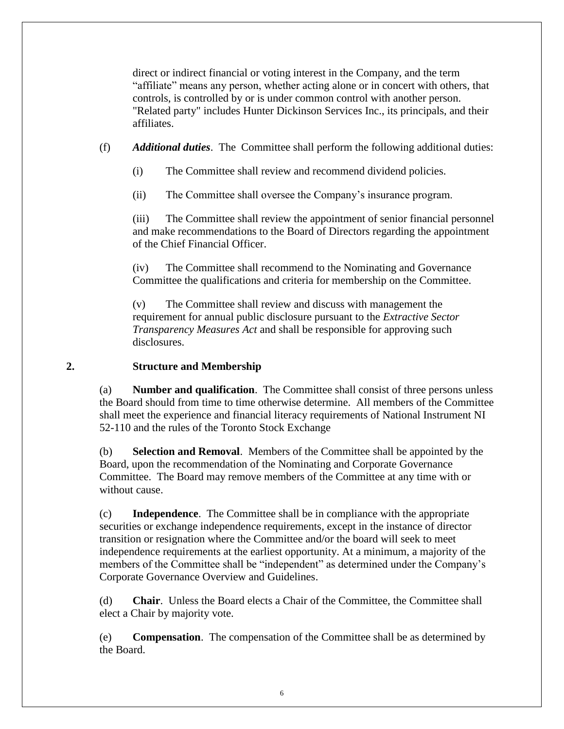direct or indirect financial or voting interest in the Company, and the term "affiliate" means any person, whether acting alone or in concert with others, that controls, is controlled by or is under common control with another person. "Related party" includes Hunter Dickinson Services Inc., its principals, and their affiliates.

(f) *Additional duties*. The Committee shall perform the following additional duties:

- (i) The Committee shall review and recommend dividend policies.
- (ii) The Committee shall oversee the Company's insurance program.

(iii) The Committee shall review the appointment of senior financial personnel and make recommendations to the Board of Directors regarding the appointment of the Chief Financial Officer.

(iv) The Committee shall recommend to the Nominating and Governance Committee the qualifications and criteria for membership on the Committee.

(v) The Committee shall review and discuss with management the requirement for annual public disclosure pursuant to the *Extractive Sector Transparency Measures Act* and shall be responsible for approving such disclosures.

#### <span id="page-55-0"></span>**2. Structure and Membership**

(a) **Number and qualification**. The Committee shall consist of three persons unless the Board should from time to time otherwise determine. All members of the Committee shall meet the experience and financial literacy requirements of National Instrument NI 52-110 and the rules of the Toronto Stock Exchange

(b) **Selection and Removal**. Members of the Committee shall be appointed by the Board, upon the recommendation of the Nominating and Corporate Governance Committee. The Board may remove members of the Committee at any time with or without cause.

(c) **Independence**. The Committee shall be in compliance with the appropriate securities or exchange independence requirements, except in the instance of director transition or resignation where the Committee and/or the board will seek to meet independence requirements at the earliest opportunity. At a minimum, a majority of the members of the Committee shall be "independent" as determined under the Company's Corporate Governance Overview and Guidelines.

(d) **Chair**. Unless the Board elects a Chair of the Committee, the Committee shall elect a Chair by majority vote.

(e) **Compensation**. The compensation of the Committee shall be as determined by the Board.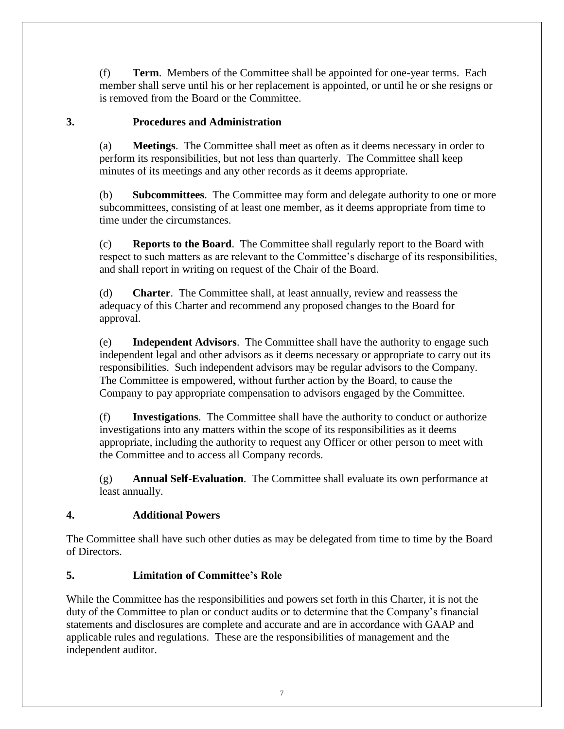(f) **Term**. Members of the Committee shall be appointed for one-year terms. Each member shall serve until his or her replacement is appointed, or until he or she resigns or is removed from the Board or the Committee.

#### <span id="page-56-0"></span>**3. Procedures and Administration**

(a) **Meetings**. The Committee shall meet as often as it deems necessary in order to perform its responsibilities, but not less than quarterly. The Committee shall keep minutes of its meetings and any other records as it deems appropriate.

(b) **Subcommittees**. The Committee may form and delegate authority to one or more subcommittees, consisting of at least one member, as it deems appropriate from time to time under the circumstances.

(c) **Reports to the Board**. The Committee shall regularly report to the Board with respect to such matters as are relevant to the Committee's discharge of its responsibilities, and shall report in writing on request of the Chair of the Board.

(d) **Charter**. The Committee shall, at least annually, review and reassess the adequacy of this Charter and recommend any proposed changes to the Board for approval.

(e) **Independent Advisors**. The Committee shall have the authority to engage such independent legal and other advisors as it deems necessary or appropriate to carry out its responsibilities. Such independent advisors may be regular advisors to the Company. The Committee is empowered, without further action by the Board, to cause the Company to pay appropriate compensation to advisors engaged by the Committee.

(f) **Investigations**. The Committee shall have the authority to conduct or authorize investigations into any matters within the scope of its responsibilities as it deems appropriate, including the authority to request any Officer or other person to meet with the Committee and to access all Company records.

(g) **Annual Self-Evaluation**. The Committee shall evaluate its own performance at least annually.

# <span id="page-56-1"></span>**4. Additional Powers**

The Committee shall have such other duties as may be delegated from time to time by the Board of Directors.

# <span id="page-56-2"></span>**5. Limitation of Committee's Role**

While the Committee has the responsibilities and powers set forth in this Charter, it is not the duty of the Committee to plan or conduct audits or to determine that the Company's financial statements and disclosures are complete and accurate and are in accordance with GAAP and applicable rules and regulations. These are the responsibilities of management and the independent auditor.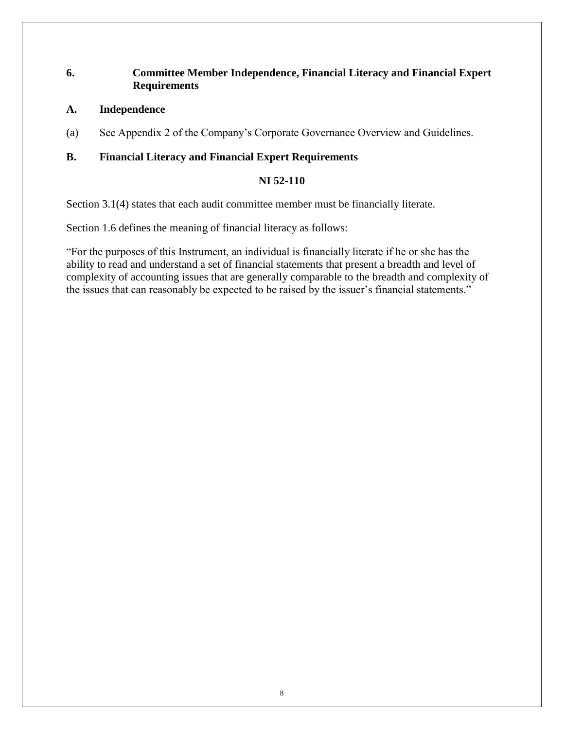#### <span id="page-57-0"></span>**6. Committee Member Independence, Financial Literacy and Financial Expert Requirements**

#### **A. Independence**

(a) See Appendix 2 of the Company's Corporate Governance Overview and Guidelines.

#### **B. Financial Literacy and Financial Expert Requirements**

#### **NI 52-110**

Section 3.1(4) states that each audit committee member must be financially literate.

Section 1.6 defines the meaning of financial literacy as follows:

"For the purposes of this Instrument, an individual is financially literate if he or she has the ability to read and understand a set of financial statements that present a breadth and level of complexity of accounting issues that are generally comparable to the breadth and complexity of the issues that can reasonably be expected to be raised by the issuer's financial statements."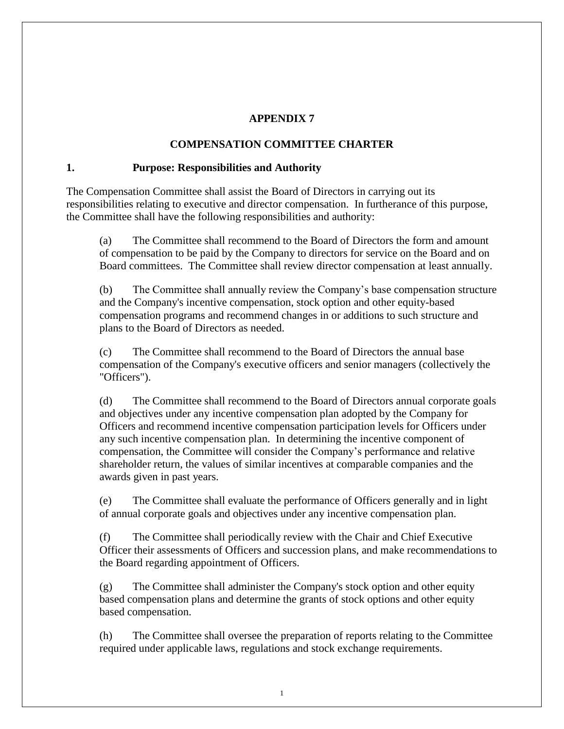#### **APPENDIX 7**

#### **COMPENSATION COMMITTEE CHARTER**

#### <span id="page-58-1"></span><span id="page-58-0"></span>**1. Purpose: Responsibilities and Authority**

The Compensation Committee shall assist the Board of Directors in carrying out its responsibilities relating to executive and director compensation. In furtherance of this purpose, the Committee shall have the following responsibilities and authority:

(a) The Committee shall recommend to the Board of Directors the form and amount of compensation to be paid by the Company to directors for service on the Board and on Board committees. The Committee shall review director compensation at least annually.

(b) The Committee shall annually review the Company's base compensation structure and the Company's incentive compensation, stock option and other equity-based compensation programs and recommend changes in or additions to such structure and plans to the Board of Directors as needed.

(c) The Committee shall recommend to the Board of Directors the annual base compensation of the Company's executive officers and senior managers (collectively the "Officers").

(d) The Committee shall recommend to the Board of Directors annual corporate goals and objectives under any incentive compensation plan adopted by the Company for Officers and recommend incentive compensation participation levels for Officers under any such incentive compensation plan. In determining the incentive component of compensation, the Committee will consider the Company's performance and relative shareholder return, the values of similar incentives at comparable companies and the awards given in past years.

(e) The Committee shall evaluate the performance of Officers generally and in light of annual corporate goals and objectives under any incentive compensation plan.

(f) The Committee shall periodically review with the Chair and Chief Executive Officer their assessments of Officers and succession plans, and make recommendations to the Board regarding appointment of Officers.

(g) The Committee shall administer the Company's stock option and other equity based compensation plans and determine the grants of stock options and other equity based compensation.

(h) The Committee shall oversee the preparation of reports relating to the Committee required under applicable laws, regulations and stock exchange requirements.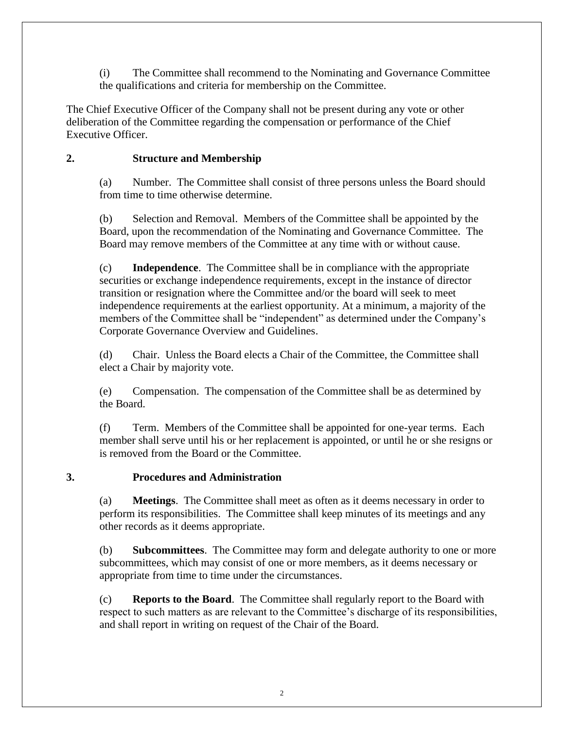(i) The Committee shall recommend to the Nominating and Governance Committee the qualifications and criteria for membership on the Committee.

The Chief Executive Officer of the Company shall not be present during any vote or other deliberation of the Committee regarding the compensation or performance of the Chief Executive Officer.

#### <span id="page-59-0"></span>**2. Structure and Membership**

(a) Number. The Committee shall consist of three persons unless the Board should from time to time otherwise determine.

(b) Selection and Removal. Members of the Committee shall be appointed by the Board, upon the recommendation of the Nominating and Governance Committee. The Board may remove members of the Committee at any time with or without cause.

(c) **Independence**. The Committee shall be in compliance with the appropriate securities or exchange independence requirements, except in the instance of director transition or resignation where the Committee and/or the board will seek to meet independence requirements at the earliest opportunity. At a minimum, a majority of the members of the Committee shall be "independent" as determined under the Company's Corporate Governance Overview and Guidelines.

(d) Chair. Unless the Board elects a Chair of the Committee, the Committee shall elect a Chair by majority vote.

(e) Compensation. The compensation of the Committee shall be as determined by the Board.

(f) Term. Members of the Committee shall be appointed for one-year terms. Each member shall serve until his or her replacement is appointed, or until he or she resigns or is removed from the Board or the Committee.

#### <span id="page-59-1"></span>**3. Procedures and Administration**

(a) **Meetings**. The Committee shall meet as often as it deems necessary in order to perform its responsibilities. The Committee shall keep minutes of its meetings and any other records as it deems appropriate.

(b) **Subcommittees**. The Committee may form and delegate authority to one or more subcommittees, which may consist of one or more members, as it deems necessary or appropriate from time to time under the circumstances.

(c) **Reports to the Board**. The Committee shall regularly report to the Board with respect to such matters as are relevant to the Committee's discharge of its responsibilities, and shall report in writing on request of the Chair of the Board.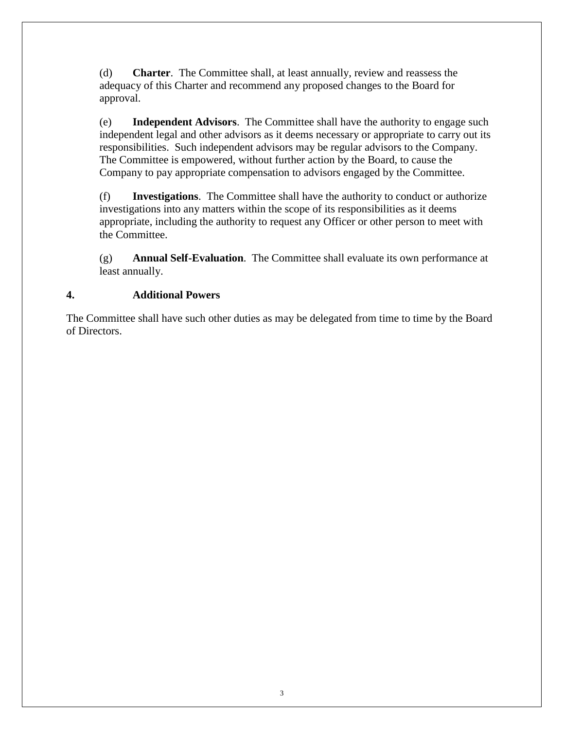(d) **Charter**. The Committee shall, at least annually, review and reassess the adequacy of this Charter and recommend any proposed changes to the Board for approval.

(e) **Independent Advisors**. The Committee shall have the authority to engage such independent legal and other advisors as it deems necessary or appropriate to carry out its responsibilities. Such independent advisors may be regular advisors to the Company. The Committee is empowered, without further action by the Board, to cause the Company to pay appropriate compensation to advisors engaged by the Committee.

(f) **Investigations**. The Committee shall have the authority to conduct or authorize investigations into any matters within the scope of its responsibilities as it deems appropriate, including the authority to request any Officer or other person to meet with the Committee.

(g) **Annual Self-Evaluation**. The Committee shall evaluate its own performance at least annually.

## <span id="page-60-0"></span>**4. Additional Powers**

The Committee shall have such other duties as may be delegated from time to time by the Board of Directors.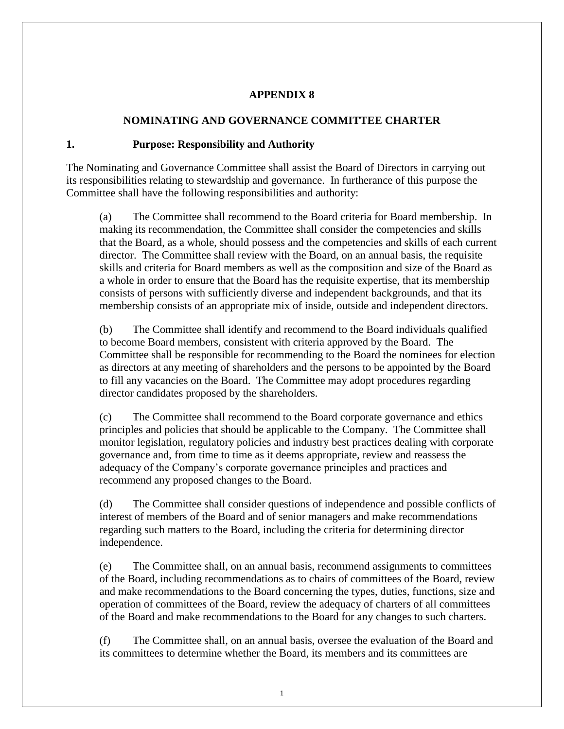#### **APPENDIX 8**

#### **NOMINATING AND GOVERNANCE COMMITTEE CHARTER**

#### <span id="page-61-1"></span><span id="page-61-0"></span>**1. Purpose: Responsibility and Authority**

The Nominating and Governance Committee shall assist the Board of Directors in carrying out its responsibilities relating to stewardship and governance. In furtherance of this purpose the Committee shall have the following responsibilities and authority:

(a) The Committee shall recommend to the Board criteria for Board membership. In making its recommendation, the Committee shall consider the competencies and skills that the Board, as a whole, should possess and the competencies and skills of each current director. The Committee shall review with the Board, on an annual basis, the requisite skills and criteria for Board members as well as the composition and size of the Board as a whole in order to ensure that the Board has the requisite expertise, that its membership consists of persons with sufficiently diverse and independent backgrounds, and that its membership consists of an appropriate mix of inside, outside and independent directors.

(b) The Committee shall identify and recommend to the Board individuals qualified to become Board members, consistent with criteria approved by the Board. The Committee shall be responsible for recommending to the Board the nominees for election as directors at any meeting of shareholders and the persons to be appointed by the Board to fill any vacancies on the Board. The Committee may adopt procedures regarding director candidates proposed by the shareholders.

(c) The Committee shall recommend to the Board corporate governance and ethics principles and policies that should be applicable to the Company. The Committee shall monitor legislation, regulatory policies and industry best practices dealing with corporate governance and, from time to time as it deems appropriate, review and reassess the adequacy of the Company's corporate governance principles and practices and recommend any proposed changes to the Board.

(d) The Committee shall consider questions of independence and possible conflicts of interest of members of the Board and of senior managers and make recommendations regarding such matters to the Board, including the criteria for determining director independence.

(e) The Committee shall, on an annual basis, recommend assignments to committees of the Board, including recommendations as to chairs of committees of the Board, review and make recommendations to the Board concerning the types, duties, functions, size and operation of committees of the Board, review the adequacy of charters of all committees of the Board and make recommendations to the Board for any changes to such charters.

(f) The Committee shall, on an annual basis, oversee the evaluation of the Board and its committees to determine whether the Board, its members and its committees are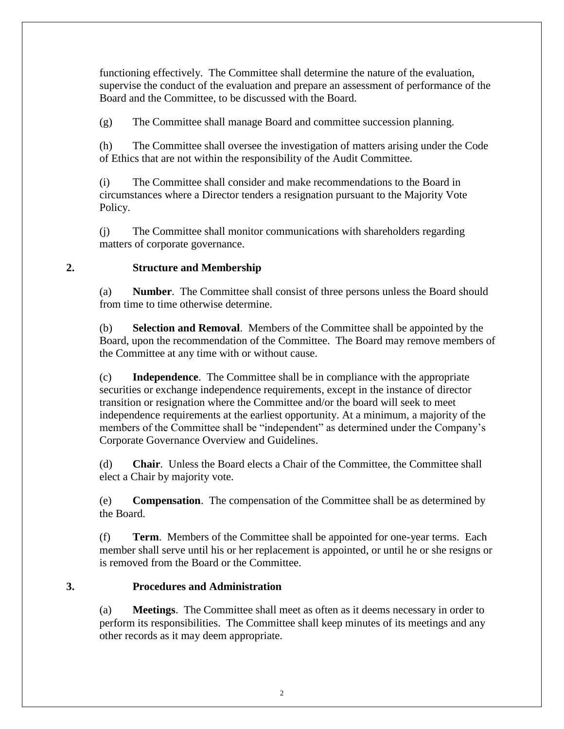functioning effectively. The Committee shall determine the nature of the evaluation, supervise the conduct of the evaluation and prepare an assessment of performance of the Board and the Committee, to be discussed with the Board.

(g) The Committee shall manage Board and committee succession planning.

(h) The Committee shall oversee the investigation of matters arising under the Code of Ethics that are not within the responsibility of the Audit Committee.

(i) The Committee shall consider and make recommendations to the Board in circumstances where a Director tenders a resignation pursuant to the Majority Vote Policy.

(j) The Committee shall monitor communications with shareholders regarding matters of corporate governance.

#### <span id="page-62-0"></span>**2. Structure and Membership**

(a) **Number**. The Committee shall consist of three persons unless the Board should from time to time otherwise determine.

(b) **Selection and Removal**. Members of the Committee shall be appointed by the Board, upon the recommendation of the Committee. The Board may remove members of the Committee at any time with or without cause.

(c) **Independence**. The Committee shall be in compliance with the appropriate securities or exchange independence requirements, except in the instance of director transition or resignation where the Committee and/or the board will seek to meet independence requirements at the earliest opportunity. At a minimum, a majority of the members of the Committee shall be "independent" as determined under the Company's Corporate Governance Overview and Guidelines.

(d) **Chair**. Unless the Board elects a Chair of the Committee, the Committee shall elect a Chair by majority vote.

(e) **Compensation**. The compensation of the Committee shall be as determined by the Board.

(f) **Term**. Members of the Committee shall be appointed for one-year terms. Each member shall serve until his or her replacement is appointed, or until he or she resigns or is removed from the Board or the Committee.

#### <span id="page-62-1"></span>**3. Procedures and Administration**

(a) **Meetings**. The Committee shall meet as often as it deems necessary in order to perform its responsibilities. The Committee shall keep minutes of its meetings and any other records as it may deem appropriate.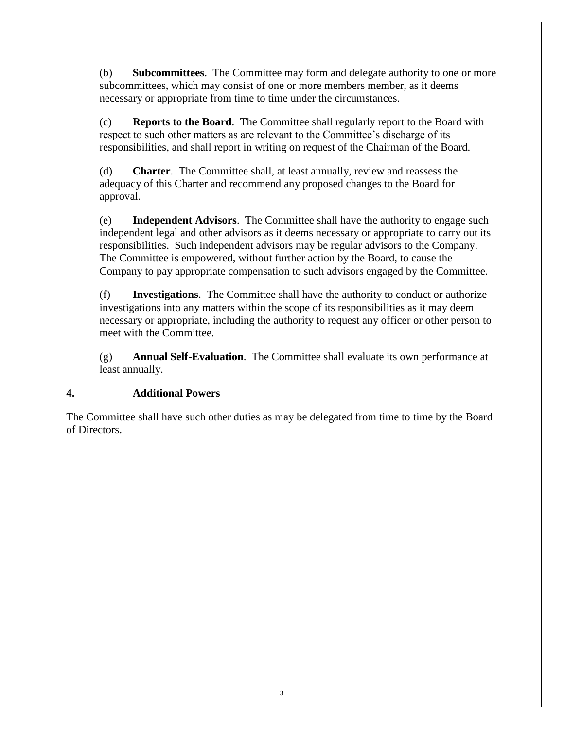(b) **Subcommittees**. The Committee may form and delegate authority to one or more subcommittees, which may consist of one or more members member, as it deems necessary or appropriate from time to time under the circumstances.

(c) **Reports to the Board**. The Committee shall regularly report to the Board with respect to such other matters as are relevant to the Committee's discharge of its responsibilities, and shall report in writing on request of the Chairman of the Board.

(d) **Charter**. The Committee shall, at least annually, review and reassess the adequacy of this Charter and recommend any proposed changes to the Board for approval.

(e) **Independent Advisors**. The Committee shall have the authority to engage such independent legal and other advisors as it deems necessary or appropriate to carry out its responsibilities. Such independent advisors may be regular advisors to the Company. The Committee is empowered, without further action by the Board, to cause the Company to pay appropriate compensation to such advisors engaged by the Committee.

(f) **Investigations**. The Committee shall have the authority to conduct or authorize investigations into any matters within the scope of its responsibilities as it may deem necessary or appropriate, including the authority to request any officer or other person to meet with the Committee.

(g) **Annual Self-Evaluation**. The Committee shall evaluate its own performance at least annually.

#### <span id="page-63-0"></span>**4. Additional Powers**

The Committee shall have such other duties as may be delegated from time to time by the Board of Directors.